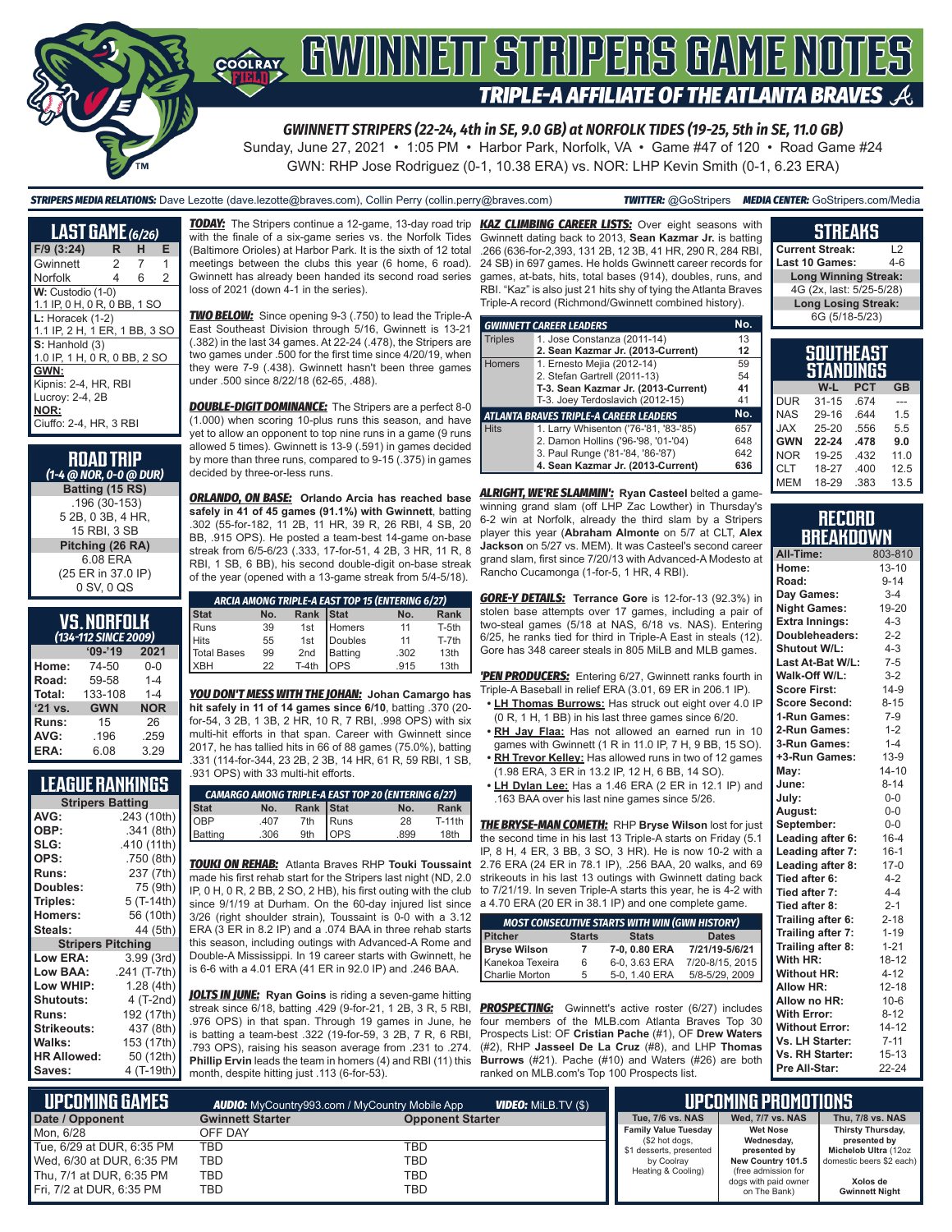

*GWINNETT STRIPERS (22-24, 4th in SE, 9.0 GB) at NORFOLK TIDES (19-25, 5th in SE, 11.0 GB)*

Sunday, June 27, 2021 • 1:05 PM • Harbor Park, Norfolk, VA • Game #47 of 120 • Road Game #24 GWN: RHP Jose Rodriguez (0-1, 10.38 ERA) vs. NOR: LHP Kevin Smith (0-1, 6.23 ERA)

*STRIPERS MEDIA RELATIONS:* Dave Lezotte (dave.lezotte@braves.com), Collin Perry (collin.perry@braves.com) *TWITTER:* @GoStripers *MEDIA CENTER:* GoStripers.com/Media

## **STREAKS**

**Current Streak:** L2 **Last 10 Games:** 

| <b>LAST GAME (6/26)</b>                                                           |   |   |   |
|-----------------------------------------------------------------------------------|---|---|---|
| $F/9$ (3:24)                                                                      | R | н | Е |
| Gwinnett                                                                          | 2 | 7 | 1 |
| Norfolk                                                                           | 4 | 6 | 2 |
| W: Custodio (1-0)<br>1.1 IP, 0 H, 0 R, 0 BB, 1 SO                                 |   |   |   |
| $L:$ Horacek $(1-2)$<br>1.1 IP, 2 H, 1 ER, 1 BB, 3 SO                             |   |   |   |
| $S:$ Hanhold $(3)$<br>1.0 IP, 1 H, 0 R, 0 BB, 2 SO                                |   |   |   |
| GWN:<br>Kipnis: 2-4, HR, RBI<br>Lucroy: 2-4, 2B<br>NOR:<br>Ciuffo: 2-4, HR, 3 RBI |   |   |   |

| <b>ROAD TRIP</b><br>(1-4 @ NOR, 0-0 @ DUR) |
|--------------------------------------------|
| Batting (15 RS)                            |
| .196 (30-153)                              |
| 5 2B, 0 3B, 4 HR,                          |
| 15 RBI, 3 SB                               |
| Pitching (26 RA)                           |
| 6.08 ERA                                   |
| (25 ER in 37.0 IP)                         |
| 0 SV, 0 QS                                 |

#### **VS. NORFOLK**  *(134-112 SINCE 2009)*

|              | 194 TIL JINGL LUUSI |            |
|--------------|---------------------|------------|
|              | $'09-'19$           | 2021       |
| Home:        | 74-50               | $0 - 0$    |
| Road:        | 59-58               | $1 - 4$    |
| Total:       | 133-108             | $1 - 4$    |
| '21 vs.      | <b>GWN</b>          | <b>NOR</b> |
| <b>Runs:</b> | 15                  | 26         |
| AVG:         | .196                | .259       |
| ERA:         | 6.08                | 3.29       |

#### **LEAGUE RANKINGS**

|                          | <b>Stripers Batting</b> |  |  |  |
|--------------------------|-------------------------|--|--|--|
| AVG:                     | .243 (10th)             |  |  |  |
| OBP:                     | .341 (8th)              |  |  |  |
| SLG:                     | .410 (11th)             |  |  |  |
| OPS:                     | .750 (8th)              |  |  |  |
| Runs:                    | 237 (7th)               |  |  |  |
| Doubles:                 | 75 (9th)                |  |  |  |
| Triples:                 | 5 (T-14th)              |  |  |  |
| <b>Homers:</b>           | 56 (10th)               |  |  |  |
| Steals:                  | 44 (5th)                |  |  |  |
| <b>Stripers Pitching</b> |                         |  |  |  |
| <b>Low ERA:</b>          | 3.99(3rd)               |  |  |  |
| Low BAA:                 | .241 (T-7th)            |  |  |  |
| Low WHIP:                | 1.28 (4th)              |  |  |  |
| <b>Shutouts:</b>         | 4 (T-2nd)               |  |  |  |
| <b>Runs:</b>             | 192 (17th)              |  |  |  |
| Strikeouts:              | 437 (8th)               |  |  |  |
| Walks:                   | 153 (17th)              |  |  |  |
| <b>HR Allowed:</b>       | 50 (12th)               |  |  |  |
| Saves:                   | 4 (T-19th)              |  |  |  |

with the finale of a six-game series vs. the Norfolk Tides (Baltimore Orioles) at Harbor Park. It is the sixth of 12 total meetings between the clubs this year (6 home, 6 road). Gwinnett has already been handed its second road series loss of 2021 (down 4-1 in the series).

*TWO BELOW:* Since opening 9-3 (.750) to lead the Triple-A East Southeast Division through 5/16, Gwinnett is 13-21 (.382) in the last 34 games. At 22-24 (.478), the Stripers are two games under .500 for the first time since 4/20/19, when they were 7-9 (.438). Gwinnett hasn't been three games under .500 since 8/22/18 (62-65, .488).

*DOUBLE-DIGIT DOMINANCE:* The Stripers are a perfect 8-0 (1.000) when scoring 10-plus runs this season, and have yet to allow an opponent to top nine runs in a game (9 runs allowed 5 times). Gwinnett is 13-9 (.591) in games decided by more than three runs, compared to 9-15 (.375) in games decided by three-or-less runs.

*ORLANDO, ON BASE:* **Orlando Arcia has reached base safely in 41 of 45 games (91.1%) with Gwinnett**, batting .302 (55-for-182, 11 2B, 11 HR, 39 R, 26 RBI, 4 SB, 20 BB, .915 OPS). He posted a team-best 14-game on-base streak from 6/5-6/23 (.333, 17-for-51, 4 2B, 3 HR, 11 R, 8 RBI, 1 SB, 6 BB), his second double-digit on-base streak of the year (opened with a 13-game streak from 5/4-5/18).

|                                                |    |         |              | ARCIA AMONG TRIPLE-A EAST TOP 15 (ENTERING 6/27) |       |  |  |
|------------------------------------------------|----|---------|--------------|--------------------------------------------------|-------|--|--|
| Rank Stat<br>No.<br>Rank<br><b>Stat</b><br>No. |    |         |              |                                                  |       |  |  |
| Runs                                           | 39 | 1st     | Homers       | 11                                               | T-5th |  |  |
| <b>Hits</b>                                    | 55 | 1st     | Doubles      | 11                                               | T-7th |  |  |
| <b>Total Bases</b>                             | 99 | 2nd     | Batting      | .302                                             | 13th  |  |  |
| <b>XBH</b>                                     | 22 | $T-4th$ | <b>l</b> ops | .915                                             | 13th  |  |  |

*YOU DON'T MESS WITH THE JOHAN:* **Johan Camargo has hit safely in 11 of 14 games since 6/10**, batting .370 (20 for-54, 3 2B, 1 3B, 2 HR, 10 R, 7 RBI, .998 OPS) with six multi-hit efforts in that span. Career with Gwinnett since 2017, he has tallied hits in 66 of 88 games (75.0%), batting .331 (114-for-344, 23 2B, 2 3B, 14 HR, 61 R, 59 RBI, 1 SB, .931 OPS) with 33 multi-hit efforts.

|             |      |           |               | CAMARGO AMONG TRIPLE-A EAST TOP 20 (ENTERING 6/27) |          |
|-------------|------|-----------|---------------|----------------------------------------------------|----------|
| Stat<br>OBP | No.  | Rank Stat |               | No.                                                | Rank     |
|             | .407 | 7th       | <b>I</b> Runs | 28                                                 | $T-11th$ |
| Batting     | .306 | 9th       | <b>OPS</b>    | .899                                               | 18th     |

*TOUKI ON REHAB:* Atlanta Braves RHP **Touki Toussaint** made his first rehab start for the Stripers last night (ND, 2.0 IP, 0 H, 0 R, 2 BB, 2 SO, 2 HB), his first outing with the club  $\:$  to 7/21/19. In seven Triple-A starts this year, he is 4-2 with since 9/1/19 at Durham. On the 60-day injured list since 3/26 (right shoulder strain), Toussaint is 0-0 with a 3.12 ERA (3 ER in 8.2 IP) and a .074 BAA in three rehab starts this season, including outings with Advanced-A Rome and Double-A Mississippi. In 19 career starts with Gwinnett, he is 6-6 with a 4.01 ERA (41 ER in 92.0 IP) and .246 BAA.

*JOLTS IN JUNE:* **Ryan Goins** is riding a seven-game hitting streak since 6/18, batting .429 (9-for-21, 1 2B, 3 R, 5 RBI, .976 OPS) in that span. Through 19 games in June, he is batting a team-best .322 (19-for-59, 3 2B, 7 R, 6 RBI, .793 OPS), raising his season average from .231 to .274. **Phillip Ervin** leads the team in homers (4) and RBI (11) this month, despite hitting just .113 (6-for-53).

*TODAY:* The Stripers continue a 12-game, 13-day road trip *KAZ CLIMBING CAREER LISTS:* Over eight seasons with Gwinnett dating back to 2013, **Sean Kazmar Jr.** is batting .266 (636-for-2,393, 131 2B, 12 3B, 41 HR, 290 R, 284 RBI, 24 SB) in 697 games. He holds Gwinnett career records for games, at-bats, hits, total bases (914), doubles, runs, and RBI. "Kaz" is also just 21 hits shy of tying the Atlanta Braves Triple-A record (Richmond/Gwinnett combined history).

|                | <b>GWINNETT CAREER LEADERS</b>                | No. |
|----------------|-----------------------------------------------|-----|
| <b>Triples</b> | 1. Jose Constanza (2011-14)                   | 13  |
|                | 2. Sean Kazmar Jr. (2013-Current)             | 12  |
| <b>Homers</b>  | 1. Ernesto Mejia (2012-14)                    | 59  |
|                | 2. Stefan Gartrell (2011-13)                  | 54  |
|                | T-3. Sean Kazmar Jr. (2013-Current)           | 41  |
|                | T-3. Joey Terdoslavich (2012-15)              | 41  |
|                | <b>ATLANTA BRAVES TRIPLE-A CAREER LEADERS</b> | No. |
| <b>Hits</b>    | 1. Larry Whisenton ('76-'81, '83-'85)         | 657 |
|                | 2. Damon Hollins ('96-'98, '01-'04)           | 648 |
|                | 3. Paul Runge ('81-'84, '86-'87)              | 642 |
|                | 4. Sean Kazmar Jr. (2013-Current)             | 636 |

*ALRIGHT, WE'RE SLAMMIN':* **Ryan Casteel** belted a gamewinning grand slam (off LHP Zac Lowther) in Thursday's 6-2 win at Norfolk, already the third slam by a Stripers player this year (**Abraham Almonte** on 5/7 at CLT, **Alex Jackson** on 5/27 vs. MEM). It was Casteel's second career grand slam, first since 7/20/13 with Advanced-A Modesto at Rancho Cucamonga (1-for-5, 1 HR, 4 RBI).

*GORE-Y DETAILS:* **Terrance Gore** is 12-for-13 (92.3%) in stolen base attempts over 17 games, including a pair of two-steal games (5/18 at NAS, 6/18 vs. NAS). Entering 6/25, he ranks tied for third in Triple-A East in steals (12). Gore has 348 career steals in 805 MiLB and MLB games.

*'PEN PRODUCERS:* Entering 6/27, Gwinnett ranks fourth in Triple-A Baseball in relief ERA (3.01, 69 ER in 206.1 IP).

- **• LH Thomas Burrows:** Has struck out eight over 4.0 IP (0 R, 1 H, 1 BB) in his last three games since 6/20.
- **• RH Jay Flaa:** Has not allowed an earned run in 10
- games with Gwinnett (1 R in 11.0 IP, 7 H, 9 BB, 15 SO). **• RH Trevor Kelley:** Has allowed runs in two of 12 games
- (1.98 ERA, 3 ER in 13.2 IP, 12 H, 6 BB, 14 SO). **• LH Dylan Lee:** Has a 1.46 ERA (2 ER in 12.1 IP) and .163 BAA over his last nine games since 5/26.

*THE BRYSE-MAN COMETH:* RHP **Bryse Wilson** lost for just the second time in his last 13 Triple-A starts on Friday (5.1 IP, 8 H, 4 ER, 3 BB, 3 SO, 3 HR). He is now 10-2 with a 2.76 ERA (24 ER in 78.1 IP), .256 BAA, 20 walks, and 69 strikeouts in his last 13 outings with Gwinnett dating back a 4.70 ERA (20 ER in 38.1 IP) and one complete game.

| <b>MOST CONSECUTIVE STARTS WITH WIN (GWN HISTORY)</b>           |   |               |                 |  |  |
|-----------------------------------------------------------------|---|---------------|-----------------|--|--|
| <b>Pitcher</b><br><b>Stats</b><br><b>Dates</b><br><b>Starts</b> |   |               |                 |  |  |
| <b>Bryse Wilson</b>                                             |   | 7-0, 0.80 ERA | 7/21/19-5/6/21  |  |  |
| Kanekoa Texeira                                                 | 6 | 6-0, 3.63 ERA | 7/20-8/15, 2015 |  |  |
| Charlie Morton                                                  | 5 | 5-0, 1.40 ERA | 5/8-5/29, 2009  |  |  |

**PROSPECTING:** Gwinnett's active roster (6/27) includes four members of the MLB.com Atlanta Braves Top 30 Prospects List: OF **Cristian Pache** (#1), OF **Drew Waters** (#2), RHP **Jasseel De La Cruz** (#8), and LHP **Thomas Burrows** (#21). Pache (#10) and Waters (#26) are both ranked on MLB.com's Top 100 Prospects list.

| Long Winning Streak:                 |            |           |
|--------------------------------------|------------|-----------|
| 4G (2x, last: 5/25-5/28)             |            |           |
| <b>Long Losing Streak:</b>           |            |           |
| 6G (5/18-5/23)                       |            |           |
|                                      |            |           |
| <b>SOUTHEAST</b><br><b>STANDINGS</b> |            |           |
| W-L                                  | <b>PCT</b> | <b>GB</b> |
|                                      |            |           |

|            | W-L       | <b>PCT</b> | <b>GB</b> |
|------------|-----------|------------|-----------|
| <b>DUR</b> | $31 - 15$ | .674       |           |
| <b>NAS</b> | 29-16     | .644       | 1.5       |
| <b>JAX</b> | $25 - 20$ | .556       | 5.5       |
| <b>GWN</b> | 22-24     | .478       | 9.0       |
| <b>NOR</b> | 19-25     | .432       | 11.0      |
| <b>CLT</b> | 18-27     | .400       | 12.5      |
| <b>MEM</b> | 18-29     | .383       | 13.5      |

#### **RECORD BREAKDOWN**

| All-Time:             | 803-810   |
|-----------------------|-----------|
| Home:                 | $13 - 10$ |
| Road:                 | $9 - 14$  |
| Day Games:            | $3-4$     |
| <b>Night Games:</b>   | 19-20     |
| <b>Extra Innings:</b> | $4 - 3$   |
| Doubleheaders:        | $2 - 2$   |
| Shutout W/L:          | $4 - 3$   |
| Last At-Bat W/L:      | $7 - 5$   |
| Walk-Off W/L:         | $3 - 2$   |
| <b>Score First:</b>   | $14-9$    |
| <b>Score Second:</b>  | $8 - 15$  |
| 1-Run Games:          | $7-9$     |
| 2-Run Games:          | $1 - 2$   |
| 3-Run Games:          | $1 - 4$   |
| +3-Run Games:         | $13-9$    |
| May:                  | $14 - 10$ |
| June:                 | $8 - 14$  |
| July:                 | $0-0$     |
| August:               | $0-0$     |
| September:            | $0-0$     |
| Leading after 6:      | $16 - 4$  |
| Leading after 7:      | $16 - 1$  |
| Leading after 8:      | $17-0$    |
| Tied after 6:         | $4 - 2$   |
| Tied after 7:         | $4 - 4$   |
| Tied after 8:         | $2 - 1$   |
| Trailing after 6:     | $2 - 18$  |
| Trailing after 7:     | $1 - 19$  |
| Trailing after 8:     | $1 - 21$  |
| With HR:              | $18 - 12$ |
| <b>Without HR:</b>    | $4 - 12$  |
| <b>Allow HR:</b>      | $12 - 18$ |
| Allow no HR:          | $10 - 6$  |
| <b>With Error:</b>    | $8 - 12$  |
| <b>Without Error:</b> | $14 - 12$ |
| Vs. LH Starter:       | $7 - 11$  |
| Vs. RH Starter:       | $15 - 13$ |
| Pre All-Star:         | 22-24     |

| NUPCOMING GAMES           |                         | <b>VIDEO:</b> Milb.TV (\$)<br><b>AUDIO:</b> MyCountry993.com / MyCountry Mobile App |                                           | IUPCOMING PROMOTIONS '               |                                      |
|---------------------------|-------------------------|-------------------------------------------------------------------------------------|-------------------------------------------|--------------------------------------|--------------------------------------|
| Date / Opponent           | <b>Gwinnett Starter</b> | <b>Opponent Starter</b>                                                             | Tue, 7/6 vs. NAS                          | Wed, 7/7 vs. NAS                     | Thu, 7/8 vs. NAS                     |
| Mon. 6/28                 | OFF DAY                 |                                                                                     | <b>Family Value Tuesday</b>               | <b>Wet Nose</b>                      | Thirsty Thursday,                    |
| Tue, 6/29 at DUR, 6:35 PM | TBD                     | TBD                                                                                 | (\$2 hot dogs,<br>\$1 desserts, presented | Wednesday,<br>presented by           | presented by<br>Michelob Ultra (12oz |
| Wed, 6/30 at DUR, 6:35 PM | TBD                     | TBD                                                                                 | by Coolray                                | New Country 101.5                    | domestic beers \$2 each)             |
| Thu, 7/1 at DUR, 6:35 PM  | TBD                     | TBD                                                                                 | Heating & Cooling)                        | (free admission for                  |                                      |
| Fri, 7/2 at DUR, 6:35 PM  | TBD                     | TBD                                                                                 |                                           | dogs with paid owner<br>on The Bank) | Xolos de<br><b>Gwinnett Night</b>    |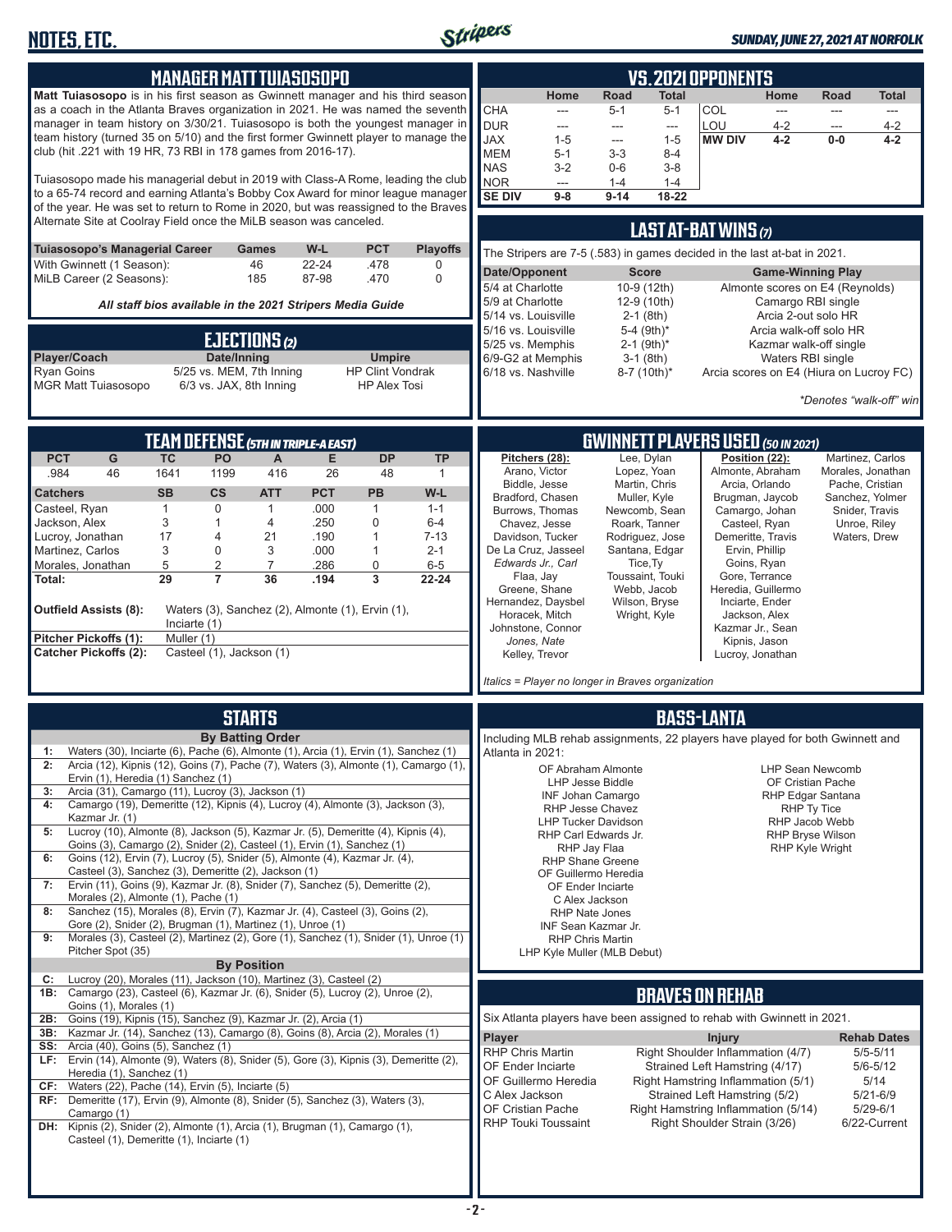

#### *SUNDAY, JUNE 27, 2021 AT NORFOLK*

| Home<br><b>Matt Tuiasosopo</b> is in his first season as Gwinnett manager and his third season<br>Home<br>Road<br>Total<br>Road<br>Total<br>as a coach in the Atlanta Braves organization in 2021. He was named the seventh<br><b>CHA</b><br>$5 - 1$<br>$5 - 1$<br>COL<br>---<br>---<br>manager in team history on 3/30/21. Tuiasosopo is both the youngest manager in<br><b>DUR</b><br>LOU<br>$4 - 2$<br>$4 - 2$<br>$\overline{\phantom{a}}$<br>---<br>$\qquad \qquad \cdots$<br>---<br>team history (turned 35 on 5/10) and the first former Gwinnett player to manage the<br><b>MW DIV</b><br><b>JAX</b><br>$4 - 2$<br>$0-0$<br>$4 - 2$<br>$1 - 5$<br>$1 - 5$<br>---<br>club (hit .221 with 19 HR, 73 RBI in 178 games from 2016-17).<br><b>MEM</b><br>$5 - 1$<br>$3 - 3$<br>$8 - 4$<br><b>NAS</b><br>$3 - 2$<br>$0-6$<br>$3-8$<br>Tuiasosopo made his managerial debut in 2019 with Class-A Rome, leading the club<br>NOR<br>$1 - 4$<br>$1 - 4$<br>---<br>to a 65-74 record and earning Atlanta's Bobby Cox Award for minor league manager<br><b>SE DIV</b><br>$9 - 14$<br>18-22<br>$9-8$<br>of the year. He was set to return to Rome in 2020, but was reassigned to the Braves<br>Alternate Site at Coolray Field once the MiLB season was canceled.<br>LAST AT-BAT WINS (7)<br>Tuiasosopo's Managerial Career<br>W-L<br><b>PCT</b><br><b>Playoffs</b><br>Games<br>The Stripers are 7-5 (.583) in games decided in the last at-bat in 2021.<br>With Gwinnett (1 Season):<br>46<br>$22 - 24$<br>.478<br>0<br>Date/Opponent<br><b>Score</b><br><b>Game-Winning Play</b><br>$\mathbf 0$<br>MiLB Career (2 Seasons):<br>185<br>87-98<br>.470<br>5/4 at Charlotte<br>10-9 (12th)<br>Almonte scores on E4 (Reynolds)<br>12-9 (10th)<br>5/9 at Charlotte<br>Camargo RBI single<br>All staff bios available in the 2021 Stripers Media Guide<br>5/14 vs. Louisville<br>$2-1$ (8th)<br>Arcia 2-out solo HR<br>5/16 vs. Louisville<br>5-4 (9th)*<br>Arcia walk-off solo HR<br>EJECTIONS (2)<br>5/25 vs. Memphis<br>$2-1$ (9th) <sup>*</sup><br>Kazmar walk-off single<br>Date/Inning<br>Player/Coach<br><b>Umpire</b><br>6/9-G2 at Memphis<br>$3-1$ (8th)<br>Waters RBI single<br>5/25 vs. MEM, 7th Inning<br><b>Ryan Goins</b><br><b>HP Clint Vondrak</b><br>6/18 vs. Nashville<br>8-7 (10th)*<br>Arcia scores on E4 (Hiura on Lucroy FC)<br><b>MGR Matt Tuiasosopo</b><br>6/3 vs. JAX, 8th Inning<br><b>HP Alex Tosi</b><br>*Denotes "walk-off" win<br><b>GWINNETT PLAYERS USED (50 IN 2021)</b><br>TEAM DEFENSE (5TH IN TRIPLE-A EAST)<br><b>PCT</b><br>${\mathsf G}$<br><b>TC</b><br><b>PO</b><br>E<br><b>DP</b><br><b>TP</b><br>Lee, Dylan<br>Position (22):<br>$\mathsf{A}$<br>Pitchers (28):<br>Martinez, Carlos<br>Lopez, Yoan<br>Arano, Victor<br>Almonte, Abraham<br>Morales, Jonathan<br>.984<br>46<br>1641<br>1199<br>416<br>26<br>48<br>1<br>Biddle, Jesse<br>Martin, Chris<br>Arcia, Orlando<br>Pache, Cristian<br><b>PCT</b><br><b>SB</b><br>$\mathsf{cs}$<br><b>ATT</b><br>PB<br>W-L<br><b>Catchers</b><br>Bradford, Chasen<br>Muller, Kyle<br>Brugman, Jaycob<br>Sanchez, Yolmer<br>.000<br>Casteel, Ryan<br>$\mathbf{1}$<br>0<br>$\mathbf{1}$<br>1<br>$1 - 1$<br>Burrows, Thomas<br>Newcomb, Sean<br>Camargo, Johan<br>Snider, Travis<br>3<br>.250<br>Jackson, Alex<br>1<br>4<br>0<br>$6 - 4$<br>Casteel, Ryan<br>Chavez, Jesse<br>Roark, Tanner<br>Unroe, Riley<br>17<br>.190<br>Demeritte, Travis<br>Lucroy, Jonathan<br>21<br>$\mathbf{1}$<br>$7 - 13$<br>Davidson, Tucker<br>Rodriguez, Jose<br>Waters, Drew<br>4<br>De La Cruz, Jasseel<br>Santana, Edgar<br>Ervin, Phillip<br>3<br>0<br>3<br>.000<br>Martinez, Carlos<br>1<br>$2 - 1$<br>Edwards Jr., Carl<br>Tice, Ty<br>Goins, Ryan<br>5<br>2<br>$\overline{7}$<br>.286<br>0<br>Morales, Jonathan<br>$6-5$<br>Flaa, Jay<br>Toussaint, Touki<br>Gore, Terrance<br>29<br>$\overline{7}$<br>36<br>3<br>.194<br>22-24<br>Total:<br>Heredia, Guillermo<br>Greene, Shane<br>Webb, Jacob<br>Hernandez, Daysbel<br>Wilson, Bryse<br>Inciarte, Ender<br>Waters (3), Sanchez (2), Almonte (1), Ervin (1),<br><b>Outfield Assists (8):</b><br>Horacek, Mitch<br>Wright, Kyle<br>Jackson, Alex<br>Inciarte $(1)$<br>Johnstone, Connor<br>Kazmar Jr., Sean<br>Pitcher Pickoffs (1):<br>Muller (1)<br>Jones, Nate<br>Kipnis, Jason<br>Casteel (1), Jackson (1)<br><b>Catcher Pickoffs (2):</b><br>Kelley, Trevor<br>Lucroy, Jonathan<br>Italics = Player no longer in Braves organization<br><b>STARTS</b><br><b>BASS-LANTA</b><br><b>By Batting Order</b><br>Including MLB rehab assignments, 22 players have played for both Gwinnett and<br>Waters (30), Inciarte (6), Pache (6), Almonte (1), Arcia (1), Ervin (1), Sanchez (1)<br>1:<br>Atlanta in 2021:<br>Arcia (12), Kipnis (12), Goins (7), Pache (7), Waters (3), Almonte (1), Camargo (1),<br>2:<br>OF Abraham Almonte<br><b>LHP Sean Newcomb</b><br>Ervin (1), Heredia (1) Sanchez (1)<br>LHP Jesse Biddle<br>OF Cristian Pache<br>Arcia (31), Camargo (11), Lucroy (3), Jackson (1)<br>3:<br>RHP Edgar Santana<br><b>INF Johan Camargo</b><br>Camargo (19), Demeritte (12), Kipnis (4), Lucroy (4), Almonte (3), Jackson (3),<br>4:<br>RHP Jesse Chavez<br>RHP Ty Tice<br>Kazmar Jr. (1)<br><b>LHP Tucker Davidson</b><br>RHP Jacob Webb<br>Lucroy (10), Almonte (8), Jackson (5), Kazmar Jr. (5), Demeritte (4), Kipnis (4),<br>5:<br>RHP Carl Edwards Jr.<br><b>RHP Bryse Wilson</b><br>Goins (3), Camargo (2), Snider (2), Casteel (1), Ervin (1), Sanchez (1)<br>RHP Jay Flaa<br><b>RHP Kyle Wright</b><br>Goins (12), Ervin (7), Lucroy (5), Snider (5), Almonte (4), Kazmar Jr. (4),<br>6:<br><b>RHP Shane Greene</b><br>Casteel (3), Sanchez (3), Demeritte (2), Jackson (1)<br>OF Guillermo Heredia<br>Ervin (11), Goins (9), Kazmar Jr. (8), Snider (7), Sanchez (5), Demeritte (2),<br>7:<br>OF Ender Inciarte<br>Morales (2), Almonte (1), Pache (1)<br>C Alex Jackson<br>Sanchez (15), Morales (8), Ervin (7), Kazmar Jr. (4), Casteel (3), Goins (2),<br>8:<br><b>RHP Nate Jones</b><br>Gore (2), Snider (2), Brugman (1), Martinez (1), Unroe (1)<br>INF Sean Kazmar Jr.<br>Morales (3), Casteel (2), Martinez (2), Gore (1), Sanchez (1), Snider (1), Unroe (1)<br>9:<br><b>RHP Chris Martin</b><br>Pitcher Spot (35)<br>LHP Kyle Muller (MLB Debut)<br><b>By Position</b><br>Lucroy (20), Morales (11), Jackson (10), Martinez (3), Casteel (2)<br>C:<br><b>1B:</b> Camargo (23), Casteel (6), Kazmar Jr. (6), Snider (5), Lucroy (2), Unroe (2),<br><b>BRAVES ON REHAB</b><br>Goins (1), Morales (1)<br>Six Atlanta players have been assigned to rehab with Gwinnett in 2021.<br>Goins (19), Kipnis (15), Sanchez (9), Kazmar Jr. (2), Arcia (1)<br>2B:<br>3B: Kazmar Jr. (14), Sanchez (13), Camargo (8), Goins (8), Arcia (2), Morales (1)<br><b>Player</b><br><b>Injury</b><br><b>Rehab Dates</b><br><b>SS:</b> Arcia (40), Goins (5), Sanchez (1)<br><b>RHP Chris Martin</b><br>Right Shoulder Inflammation (4/7)<br>$5/5 - 5/11$<br>LF: Ervin (14), Almonte (9), Waters (8), Snider (5), Gore (3), Kipnis (3), Demeritte (2),<br>OF Ender Inciarte<br>$5/6 - 5/12$<br>Strained Left Hamstring (4/17)<br>Heredia (1), Sanchez (1)<br>OF Guillermo Heredia<br>Right Hamstring Inflammation (5/1)<br>5/14<br>CF: Waters (22), Pache (14), Ervin $(5)$ , Inciarte $(5)$<br>Strained Left Hamstring (5/2)<br>C Alex Jackson<br>$5/21 - 6/9$<br>RF: Demeritte (17), Ervin (9), Almonte (8), Snider (5), Sanchez (3), Waters (3),<br>OF Cristian Pache<br>$5/29 - 6/1$<br>Right Hamstring Inflammation (5/14)<br>Camargo (1)<br><b>RHP Touki Toussaint</b><br>6/22-Current<br>Right Shoulder Strain (3/26)<br>DH: Kipnis (2), Snider (2), Almonte (1), Arcia (1), Brugman (1), Camargo (1),<br>Casteel (1), Demeritte (1), Inciarte (1) |  | <b>MANAGER MATT TUIASOSOPO</b> |  |  |  |  | <b>VS.2021 OPPONENTS</b> |  |  |
|------------------------------------------------------------------------------------------------------------------------------------------------------------------------------------------------------------------------------------------------------------------------------------------------------------------------------------------------------------------------------------------------------------------------------------------------------------------------------------------------------------------------------------------------------------------------------------------------------------------------------------------------------------------------------------------------------------------------------------------------------------------------------------------------------------------------------------------------------------------------------------------------------------------------------------------------------------------------------------------------------------------------------------------------------------------------------------------------------------------------------------------------------------------------------------------------------------------------------------------------------------------------------------------------------------------------------------------------------------------------------------------------------------------------------------------------------------------------------------------------------------------------------------------------------------------------------------------------------------------------------------------------------------------------------------------------------------------------------------------------------------------------------------------------------------------------------------------------------------------------------------------------------------------------------------------------------------------------------------------------------------------------------------------------------------------------------------------------------------------------------------------------------------------------------------------------------------------------------------------------------------------------------------------------------------------------------------------------------------------------------------------------------------------------------------------------------------------------------------------------------------------------------------------------------------------------------------------------------------------------------------------------------------------------------------------------------------------------------------------------------------------------------------------------------------------------------------------------------------------------------------------------------------------------------------------------------------------------------------------------------------------------------------------------------------------------------------------------------------------------------------------------------------------------------------------------------------------------------------------------------------------------------------------------------------------------------------------------------------------------------------------------------------------------------------------------------------------------------------------------------------------------------------------------------------------------------------------------------------------------------------------------------------------------------------------------------------------------------------------------------------------------------------------------------------------------------------------------------------------------------------------------------------------------------------------------------------------------------------------------------------------------------------------------------------------------------------------------------------------------------------------------------------------------------------------------------------------------------------------------------------------------------------------------------------------------------------------------------------------------------------------------------------------------------------------------------------------------------------------------------------------------------------------------------------------------------------------------------------------------------------------------------------------------------------------------------------------------------------------------------------------------------------------------------------------------------------------------------------------------------------------------------------------------------------------------------------------------------------------------------------------------------------------------------------------------------------------------------------------------------------------------------------------------------------------------------------------------------------------------------------------------------------------------------------------------------------------------------------------------------------------------------------------------------------------------------------------------------------------------------------------------------------------------------------------------------------------------------------------------------------------------------------------------------------------------------------------------------------------------------------------------------------------------------------------------------------------------------------------------------------------------------------------------------------------------------------------------------------------------------------------------------------------------------------------------------------------------------------------------------------------------------------------------------------------------------------------------------------------------------------------------------------------------------------------------------------------------------------------------------------------------------------------------------------------------------------------------------------------------------------------------------------------------------------------------------------------------------------------------------------------------------------------------------------------------------------------------------------------------------------------------------------------------------------------------------------------------------------------------------------------------------------------------------------------------------------------------------------------------------------------------------------------------------------------------------------------------------------------------------------------------------------------------------------------------------------------------------------------------------------------------------------------------------------------------------------------------------------------------------------------------------------------------------------------------------------------------------------------------------------------------------------------------------------------------------------------------------------------------------------------------------------------------------------------------------------------------------------------------------------------------------|--|--------------------------------|--|--|--|--|--------------------------|--|--|
|                                                                                                                                                                                                                                                                                                                                                                                                                                                                                                                                                                                                                                                                                                                                                                                                                                                                                                                                                                                                                                                                                                                                                                                                                                                                                                                                                                                                                                                                                                                                                                                                                                                                                                                                                                                                                                                                                                                                                                                                                                                                                                                                                                                                                                                                                                                                                                                                                                                                                                                                                                                                                                                                                                                                                                                                                                                                                                                                                                                                                                                                                                                                                                                                                                                                                                                                                                                                                                                                                                                                                                                                                                                                                                                                                                                                                                                                                                                                                                                                                                                                                                                                                                                                                                                                                                                                                                                                                                                                                                                                                                                                                                                                                                                                                                                                                                                                                                                                                                                                                                                                                                                                                                                                                                                                                                                                                                                                                                                                                                                                                                                                                                                                                                                                                                                                                                                                                                                                                                                                                                                                                                                                                                                                                                                                                                                                                                                                                                                                                                                                                                                                                                                                                                                                                                                                                                                                                                                                                                                                                                                                                                                                                                                                                                                                                                                                                                                                                                                                                                                                                                                                                                                                                                                                                                              |  |                                |  |  |  |  |                          |  |  |
|                                                                                                                                                                                                                                                                                                                                                                                                                                                                                                                                                                                                                                                                                                                                                                                                                                                                                                                                                                                                                                                                                                                                                                                                                                                                                                                                                                                                                                                                                                                                                                                                                                                                                                                                                                                                                                                                                                                                                                                                                                                                                                                                                                                                                                                                                                                                                                                                                                                                                                                                                                                                                                                                                                                                                                                                                                                                                                                                                                                                                                                                                                                                                                                                                                                                                                                                                                                                                                                                                                                                                                                                                                                                                                                                                                                                                                                                                                                                                                                                                                                                                                                                                                                                                                                                                                                                                                                                                                                                                                                                                                                                                                                                                                                                                                                                                                                                                                                                                                                                                                                                                                                                                                                                                                                                                                                                                                                                                                                                                                                                                                                                                                                                                                                                                                                                                                                                                                                                                                                                                                                                                                                                                                                                                                                                                                                                                                                                                                                                                                                                                                                                                                                                                                                                                                                                                                                                                                                                                                                                                                                                                                                                                                                                                                                                                                                                                                                                                                                                                                                                                                                                                                                                                                                                                                              |  |                                |  |  |  |  |                          |  |  |
|                                                                                                                                                                                                                                                                                                                                                                                                                                                                                                                                                                                                                                                                                                                                                                                                                                                                                                                                                                                                                                                                                                                                                                                                                                                                                                                                                                                                                                                                                                                                                                                                                                                                                                                                                                                                                                                                                                                                                                                                                                                                                                                                                                                                                                                                                                                                                                                                                                                                                                                                                                                                                                                                                                                                                                                                                                                                                                                                                                                                                                                                                                                                                                                                                                                                                                                                                                                                                                                                                                                                                                                                                                                                                                                                                                                                                                                                                                                                                                                                                                                                                                                                                                                                                                                                                                                                                                                                                                                                                                                                                                                                                                                                                                                                                                                                                                                                                                                                                                                                                                                                                                                                                                                                                                                                                                                                                                                                                                                                                                                                                                                                                                                                                                                                                                                                                                                                                                                                                                                                                                                                                                                                                                                                                                                                                                                                                                                                                                                                                                                                                                                                                                                                                                                                                                                                                                                                                                                                                                                                                                                                                                                                                                                                                                                                                                                                                                                                                                                                                                                                                                                                                                                                                                                                                                              |  |                                |  |  |  |  |                          |  |  |
|                                                                                                                                                                                                                                                                                                                                                                                                                                                                                                                                                                                                                                                                                                                                                                                                                                                                                                                                                                                                                                                                                                                                                                                                                                                                                                                                                                                                                                                                                                                                                                                                                                                                                                                                                                                                                                                                                                                                                                                                                                                                                                                                                                                                                                                                                                                                                                                                                                                                                                                                                                                                                                                                                                                                                                                                                                                                                                                                                                                                                                                                                                                                                                                                                                                                                                                                                                                                                                                                                                                                                                                                                                                                                                                                                                                                                                                                                                                                                                                                                                                                                                                                                                                                                                                                                                                                                                                                                                                                                                                                                                                                                                                                                                                                                                                                                                                                                                                                                                                                                                                                                                                                                                                                                                                                                                                                                                                                                                                                                                                                                                                                                                                                                                                                                                                                                                                                                                                                                                                                                                                                                                                                                                                                                                                                                                                                                                                                                                                                                                                                                                                                                                                                                                                                                                                                                                                                                                                                                                                                                                                                                                                                                                                                                                                                                                                                                                                                                                                                                                                                                                                                                                                                                                                                                                              |  |                                |  |  |  |  |                          |  |  |
|                                                                                                                                                                                                                                                                                                                                                                                                                                                                                                                                                                                                                                                                                                                                                                                                                                                                                                                                                                                                                                                                                                                                                                                                                                                                                                                                                                                                                                                                                                                                                                                                                                                                                                                                                                                                                                                                                                                                                                                                                                                                                                                                                                                                                                                                                                                                                                                                                                                                                                                                                                                                                                                                                                                                                                                                                                                                                                                                                                                                                                                                                                                                                                                                                                                                                                                                                                                                                                                                                                                                                                                                                                                                                                                                                                                                                                                                                                                                                                                                                                                                                                                                                                                                                                                                                                                                                                                                                                                                                                                                                                                                                                                                                                                                                                                                                                                                                                                                                                                                                                                                                                                                                                                                                                                                                                                                                                                                                                                                                                                                                                                                                                                                                                                                                                                                                                                                                                                                                                                                                                                                                                                                                                                                                                                                                                                                                                                                                                                                                                                                                                                                                                                                                                                                                                                                                                                                                                                                                                                                                                                                                                                                                                                                                                                                                                                                                                                                                                                                                                                                                                                                                                                                                                                                                                              |  |                                |  |  |  |  |                          |  |  |
|                                                                                                                                                                                                                                                                                                                                                                                                                                                                                                                                                                                                                                                                                                                                                                                                                                                                                                                                                                                                                                                                                                                                                                                                                                                                                                                                                                                                                                                                                                                                                                                                                                                                                                                                                                                                                                                                                                                                                                                                                                                                                                                                                                                                                                                                                                                                                                                                                                                                                                                                                                                                                                                                                                                                                                                                                                                                                                                                                                                                                                                                                                                                                                                                                                                                                                                                                                                                                                                                                                                                                                                                                                                                                                                                                                                                                                                                                                                                                                                                                                                                                                                                                                                                                                                                                                                                                                                                                                                                                                                                                                                                                                                                                                                                                                                                                                                                                                                                                                                                                                                                                                                                                                                                                                                                                                                                                                                                                                                                                                                                                                                                                                                                                                                                                                                                                                                                                                                                                                                                                                                                                                                                                                                                                                                                                                                                                                                                                                                                                                                                                                                                                                                                                                                                                                                                                                                                                                                                                                                                                                                                                                                                                                                                                                                                                                                                                                                                                                                                                                                                                                                                                                                                                                                                                                              |  |                                |  |  |  |  |                          |  |  |
|                                                                                                                                                                                                                                                                                                                                                                                                                                                                                                                                                                                                                                                                                                                                                                                                                                                                                                                                                                                                                                                                                                                                                                                                                                                                                                                                                                                                                                                                                                                                                                                                                                                                                                                                                                                                                                                                                                                                                                                                                                                                                                                                                                                                                                                                                                                                                                                                                                                                                                                                                                                                                                                                                                                                                                                                                                                                                                                                                                                                                                                                                                                                                                                                                                                                                                                                                                                                                                                                                                                                                                                                                                                                                                                                                                                                                                                                                                                                                                                                                                                                                                                                                                                                                                                                                                                                                                                                                                                                                                                                                                                                                                                                                                                                                                                                                                                                                                                                                                                                                                                                                                                                                                                                                                                                                                                                                                                                                                                                                                                                                                                                                                                                                                                                                                                                                                                                                                                                                                                                                                                                                                                                                                                                                                                                                                                                                                                                                                                                                                                                                                                                                                                                                                                                                                                                                                                                                                                                                                                                                                                                                                                                                                                                                                                                                                                                                                                                                                                                                                                                                                                                                                                                                                                                                                              |  |                                |  |  |  |  |                          |  |  |
|                                                                                                                                                                                                                                                                                                                                                                                                                                                                                                                                                                                                                                                                                                                                                                                                                                                                                                                                                                                                                                                                                                                                                                                                                                                                                                                                                                                                                                                                                                                                                                                                                                                                                                                                                                                                                                                                                                                                                                                                                                                                                                                                                                                                                                                                                                                                                                                                                                                                                                                                                                                                                                                                                                                                                                                                                                                                                                                                                                                                                                                                                                                                                                                                                                                                                                                                                                                                                                                                                                                                                                                                                                                                                                                                                                                                                                                                                                                                                                                                                                                                                                                                                                                                                                                                                                                                                                                                                                                                                                                                                                                                                                                                                                                                                                                                                                                                                                                                                                                                                                                                                                                                                                                                                                                                                                                                                                                                                                                                                                                                                                                                                                                                                                                                                                                                                                                                                                                                                                                                                                                                                                                                                                                                                                                                                                                                                                                                                                                                                                                                                                                                                                                                                                                                                                                                                                                                                                                                                                                                                                                                                                                                                                                                                                                                                                                                                                                                                                                                                                                                                                                                                                                                                                                                                                              |  |                                |  |  |  |  |                          |  |  |
|                                                                                                                                                                                                                                                                                                                                                                                                                                                                                                                                                                                                                                                                                                                                                                                                                                                                                                                                                                                                                                                                                                                                                                                                                                                                                                                                                                                                                                                                                                                                                                                                                                                                                                                                                                                                                                                                                                                                                                                                                                                                                                                                                                                                                                                                                                                                                                                                                                                                                                                                                                                                                                                                                                                                                                                                                                                                                                                                                                                                                                                                                                                                                                                                                                                                                                                                                                                                                                                                                                                                                                                                                                                                                                                                                                                                                                                                                                                                                                                                                                                                                                                                                                                                                                                                                                                                                                                                                                                                                                                                                                                                                                                                                                                                                                                                                                                                                                                                                                                                                                                                                                                                                                                                                                                                                                                                                                                                                                                                                                                                                                                                                                                                                                                                                                                                                                                                                                                                                                                                                                                                                                                                                                                                                                                                                                                                                                                                                                                                                                                                                                                                                                                                                                                                                                                                                                                                                                                                                                                                                                                                                                                                                                                                                                                                                                                                                                                                                                                                                                                                                                                                                                                                                                                                                                              |  |                                |  |  |  |  |                          |  |  |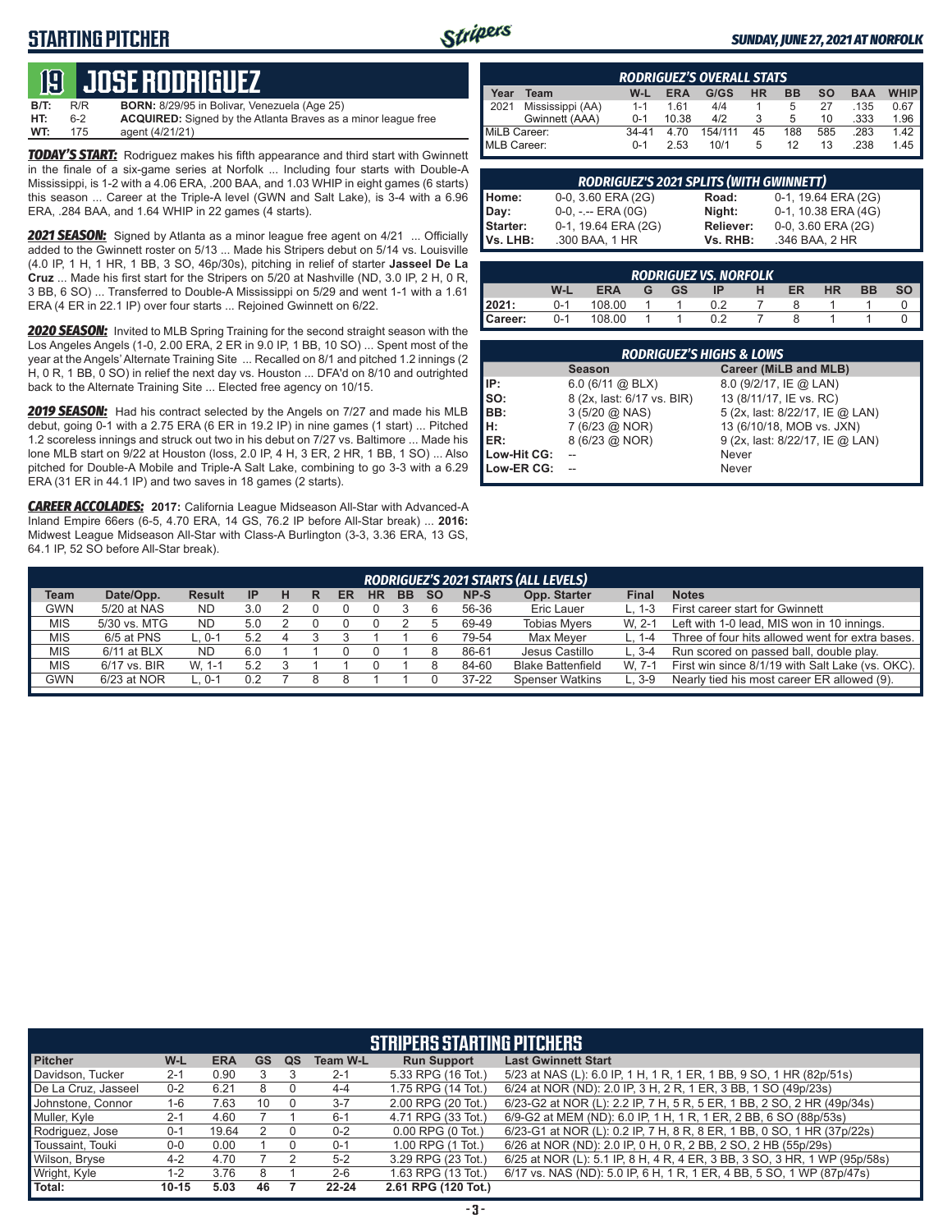### **STARTING PITCHER**



#### *SUNDAY, JUNE 27, 2021 AT NORFOLK*

# **19****JOSE RODRIGUEZ**

**B/T:** R/R **BORN:** 8/29/95 in Bolivar, Venezuela (Age 25)<br>**HT:** 6-2 **ACQUIRED:** Signed by the Atlanta Braves as 6-2 **ACQUIRED:** Signed by the Atlanta Braves as a minor league free<br>175 agent (4/21/21) **WT:** 175 agent (4/21/21)

*TODAY'S START:* Rodriguez makes his fifth appearance and third start with Gwinnett in the finale of a six-game series at Norfolk ... Including four starts with Double-A Mississippi, is 1-2 with a 4.06 ERA, .200 BAA, and 1.03 WHIP in eight games (6 starts) this season ... Career at the Triple-A level (GWN and Salt Lake), is 3-4 with a 6.96 ERA, .284 BAA, and 1.64 WHIP in 22 games (4 starts).

*2021 SEASON:* Signed by Atlanta as a minor league free agent on 4/21 ... Officially added to the Gwinnett roster on 5/13 ... Made his Stripers debut on 5/14 vs. Louisville (4.0 IP, 1 H, 1 HR, 1 BB, 3 SO, 46p/30s), pitching in relief of starter **Jasseel De La Cruz** ... Made his first start for the Stripers on 5/20 at Nashville (ND, 3.0 IP, 2 H, 0 R, 3 BB, 6 SO) ... Transferred to Double-A Mississippi on 5/29 and went 1-1 with a 1.61 ERA (4 ER in 22.1 IP) over four starts ... Rejoined Gwinnett on 6/22.

*2020 SEASON:* Invited to MLB Spring Training for the second straight season with the Los Angeles Angels (1-0, 2.00 ERA, 2 ER in 9.0 IP, 1 BB, 10 SO) ... Spent most of the year at the Angels' Alternate Training Site ... Recalled on 8/1 and pitched 1.2 innings (2 H, 0 R, 1 BB, 0 SO) in relief the next day vs. Houston ... DFA'd on 8/10 and outrighted back to the Alternate Training Site ... Elected free agency on 10/15.

*2019 SEASON:* Had his contract selected by the Angels on 7/27 and made his MLB debut, going 0-1 with a 2.75 ERA (6 ER in 19.2 IP) in nine games (1 start) ... Pitched 1.2 scoreless innings and struck out two in his debut on 7/27 vs. Baltimore ... Made his lone MLB start on 9/22 at Houston (loss, 2.0 IP, 4 H, 3 ER, 2 HR, 1 BB, 1 SO) ... Also pitched for Double-A Mobile and Triple-A Salt Lake, combining to go 3-3 with a 6.29 ERA (31 ER in 44.1 IP) and two saves in 18 games (2 starts).

*CAREER ACCOLADES:* **2017:** California League Midseason All-Star with Advanced-A Inland Empire 66ers (6-5, 4.70 ERA, 14 GS, 76.2 IP before All-Star break) ... **2016:** Midwest League Midseason All-Star with Class-A Burlington (3-3, 3.36 ERA, 13 GS, 64.1 IP, 52 SO before All-Star break).

|                    | <b>RODRIGUEZ'S OVERALL STATS</b> |           |            |         |    |           |     |            |             |  |  |
|--------------------|----------------------------------|-----------|------------|---------|----|-----------|-----|------------|-------------|--|--|
| Year               | Team                             | W-L       | <b>ERA</b> | G/GS    | HR | <b>BB</b> | so  | <b>BAA</b> | <b>WHIP</b> |  |  |
| 2021               | Mississippi (AA)                 | $1 - 1$   | 161        | 4/4     |    | 5         | 27  | .135       | 0.67        |  |  |
|                    | Gwinnett (AAA)                   | $0 - 1$   | 10.38      | 4/2     | 3  | 5         | 10  | .333       | 1.96        |  |  |
| MiLB Career:       |                                  | $34 - 41$ | 4.70       | 154/111 | 45 | 188       | 585 | .283       | 1.42        |  |  |
| <b>MLB Career:</b> |                                  | $0 - 1$   | 2.53       | 10/1    | 5  | 12        | 13  | .238       | 1.45        |  |  |

|                 | RODRIGUEZ'S 2021 SPLITS (WITH GWINNETT) |           |                     |
|-----------------|-----------------------------------------|-----------|---------------------|
| Home:           | 0-0, 3.60 ERA (2G)                      | Road:     | 0-1, 19.64 ERA (2G) |
| Day:            | $0-0, - -$ ERA $(0G)$                   | Night:    | 0-1, 10.38 ERA (4G) |
| <b>Starter:</b> | 0-1, 19.64 ERA (2G)                     | Reliever: | 0-0, 3.60 ERA (2G)  |
| Vs. LHB:        | .300 BAA, 1 HR                          | Vs. RHB:  | .346 BAA, 2 HR      |

|           |         |            |   |           | <b>RODRIGUEZ VS. NORFOLK</b> |   |    |           |           |           |
|-----------|---------|------------|---|-----------|------------------------------|---|----|-----------|-----------|-----------|
|           | W-L     | <b>ERA</b> | G | <b>GS</b> |                              | н | ER | <b>HR</b> | <b>BB</b> | <b>SO</b> |
| 2021:     | $0 - 1$ | 108.00     |   |           |                              |   |    |           |           |           |
| l Career: | $0 - 1$ | 108.00     |   |           | በ 2                          |   |    |           |           |           |

|             | <b>RODRIGUEZ'S HIGHS &amp; LOWS</b> |                                 |  |  |  |  |  |  |  |  |  |
|-------------|-------------------------------------|---------------------------------|--|--|--|--|--|--|--|--|--|
|             | <b>Season</b>                       | <b>Career (MiLB and MLB)</b>    |  |  |  |  |  |  |  |  |  |
| IP:         | $6.0$ (6/11 @ BLX)                  | 8.0 (9/2/17, IE @ LAN)          |  |  |  |  |  |  |  |  |  |
| Iso:        | 8 (2x, last: 6/17 vs. BIR)          | 13 (8/11/17, IE vs. RC)         |  |  |  |  |  |  |  |  |  |
| BB:         | $3(5/20 \omega NAS)$                | 5 (2x, last: 8/22/17, IE @ LAN) |  |  |  |  |  |  |  |  |  |
| Iн:         | 7 (6/23 @ NOR)                      | 13 (6/10/18, MOB vs. JXN)       |  |  |  |  |  |  |  |  |  |
| ER:         | 8 (6/23 @ NOR)                      | 9 (2x, last: 8/22/17, IE @ LAN) |  |  |  |  |  |  |  |  |  |
| Low-Hit CG: |                                     | Never                           |  |  |  |  |  |  |  |  |  |
| Low-ER CG:  |                                     | Never                           |  |  |  |  |  |  |  |  |  |

| <b>RODRIGUEZ'S 2021 STARTS (ALL LEVELS)</b> |               |           |   |   |    |           |           |           |           |                          |         |                                                  |
|---------------------------------------------|---------------|-----------|---|---|----|-----------|-----------|-----------|-----------|--------------------------|---------|--------------------------------------------------|
| Team<br>Date/Opp.                           | <b>Result</b> | <b>IP</b> | н | R | ER | <b>HR</b> | <b>BB</b> | <b>SO</b> | NP-S      | Opp. Starter             | Final   | <b>Notes</b>                                     |
| GWN<br>5/20 at NAS                          | <b>ND</b>     | 3.0       |   |   |    |           |           |           | 56-36     | Eric Lauer               |         | First career start for Gwinnett                  |
| <b>MIS</b><br>5/30 vs. MTG                  | ND            | 5.0       |   |   |    |           |           |           | 69-49     | <b>Tobias Myers</b>      | W. 2-1  | Left with 1-0 lead, MIS won in 10 innings.       |
| <b>MIS</b><br>6/5 at PNS                    | L. 0-1        | 5.2       |   |   |    |           |           |           | 79-54     | Max Mever                | L. 1-4  | Three of four hits allowed went for extra bases. |
| <b>MIS</b><br>$6/11$ at BLX                 | ND            | 6.0       |   |   |    |           |           |           | 86-61     | Jesus Castillo           | $L.3-4$ | Run scored on passed ball, double play.          |
| <b>MIS</b><br>6/17 vs. BIR                  | W. 1-1        | 5.2       |   |   |    |           |           |           | 84-60     | <b>Blake Battenfield</b> | W. 7-1  | First win since 8/1/19 with Salt Lake (vs. OKC). |
| GWN<br>6/23 at NOR                          | 0-1           |           |   |   |    |           |           |           | $37 - 22$ | <b>Spenser Watkins</b>   | 3-9     | Nearly tied his most career ER allowed (9).      |

|                 | <b>STRIPERS STARTING PITCHERS</b> |                            |  |  |  |  |  |  |  |  |
|-----------------|-----------------------------------|----------------------------|--|--|--|--|--|--|--|--|
| <b>Team W-L</b> | <b>Run Support</b>                | <b>Last Gwinnett Start</b> |  |  |  |  |  |  |  |  |

| <b>Pitcher</b>      | W-L       | <b>ERA</b> | <b>GS</b> | QS | Team W-L  | <b>Run Support</b>    | <b>Last Gwinnett Start</b>                                                |
|---------------------|-----------|------------|-----------|----|-----------|-----------------------|---------------------------------------------------------------------------|
| Davidson, Tucker    | $2 - 1$   | 0.90       |           |    | $2 - 1$   | 5.33 RPG (16 Tot.)    | 5/23 at NAS (L): 6.0 IP, 1 H, 1 R, 1 ER, 1 BB, 9 SO, 1 HR (82p/51s)       |
| De La Cruz. Jasseel | $0 - 2$   | 6.21       |           |    | $4 - 4$   | 1.75 RPG (14 Tot.)    | 6/24 at NOR (ND): 2.0 IP, 3 H, 2 R, 1 ER, 3 BB, 1 SO (49p/23s)            |
| Johnstone, Connor   | 1-6       | 7.63       | 10        |    | $3 - 7$   | 2.00 RPG (20 Tot.)    | 6/23-G2 at NOR (L): 2.2 IP, 7 H, 5 R, 5 ER, 1 BB, 2 SO, 2 HR (49p/34s)    |
| Muller, Kyle        | $2 - 1$   | 4.60       |           |    | $6 - 1$   | 4.71 RPG (33 Tot.)    | 6/9-G2 at MEM (ND): 6.0 IP, 1 H, 1 R, 1 ER, 2 BB, 6 SO (88p/53s)          |
| Rodriguez, Jose     | $0 - 1$   | 19.64      |           |    | $0 - 2$   | $0.00$ RPG $(0$ Tot.) | 6/23-G1 at NOR (L): 0.2 IP, 7 H, 8 R, 8 ER, 1 BB, 0 SO, 1 HR (37p/22s)    |
| Toussaint. Touki    | $0-0$     | 0.00       |           |    | $0 - 1$   | 1.00 RPG (1 Tot.)     | 6/26 at NOR (ND): 2.0 IP, 0 H, 0 R, 2 BB, 2 SO, 2 HB (55p/29s)            |
| Wilson, Bryse       | $4 - 2$   | 4.70       |           |    | $5 - 2$   | 3.29 RPG (23 Tot.)    | 6/25 at NOR (L): 5.1 IP, 8 H, 4 R, 4 ER, 3 BB, 3 SO, 3 HR, 1 WP (95p/58s) |
| Wright, Kyle        | $1 - 2$   | 3.76       |           |    | $2 - 6$   | 1.63 RPG (13 Tot.)    | 6/17 vs. NAS (ND): 5.0 IP, 6 H, 1 R, 1 ER, 4 BB, 5 SO, 1 WP (87p/47s)     |
| l Total:            | $10 - 15$ | 5.03       | 46        |    | $22 - 24$ | 2.61 RPG (120 Tot.)   |                                                                           |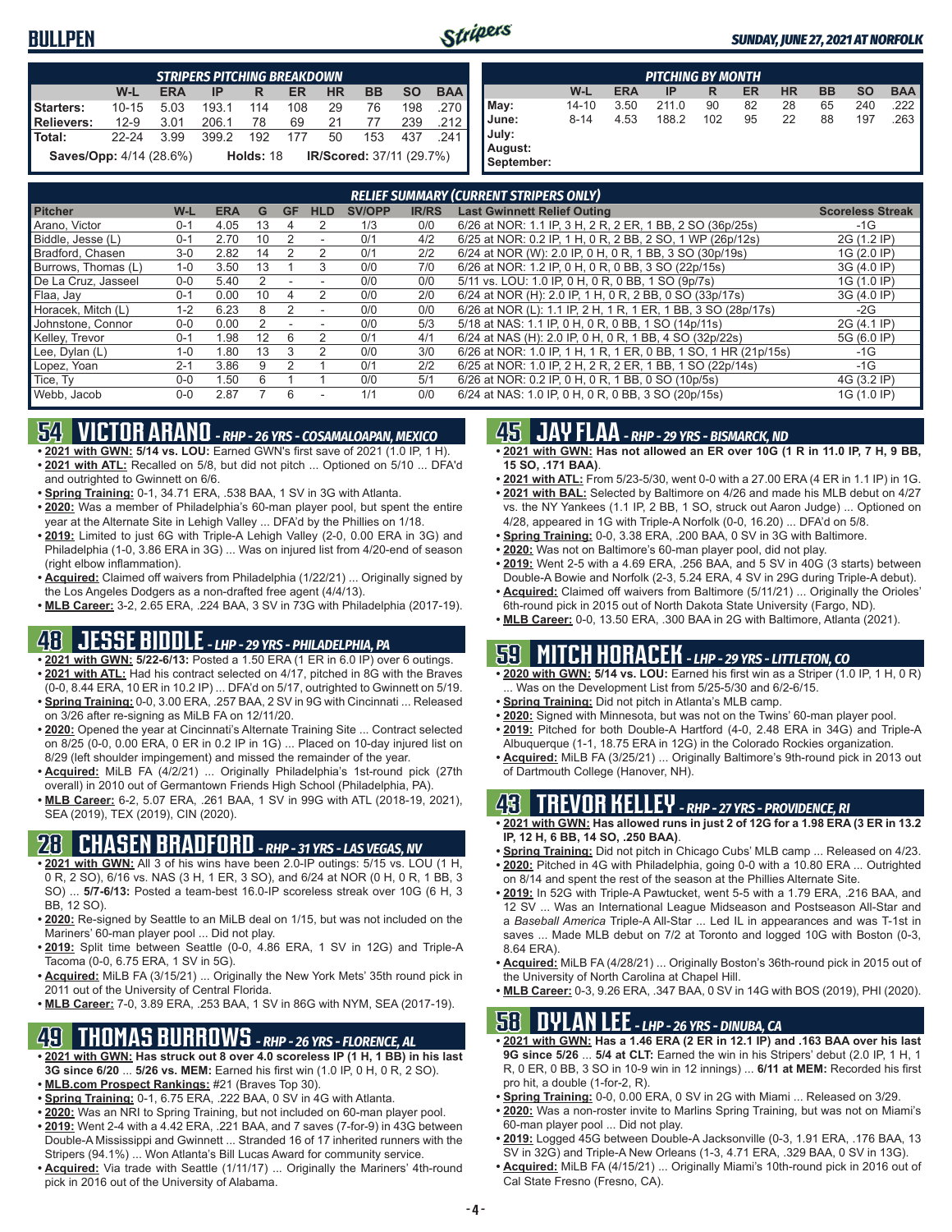#### **BULLPEN**



|                                | <b>STRIPERS PITCHING BREAKDOWN</b> |            |       |                                              |     |           |           |           |            |  |
|--------------------------------|------------------------------------|------------|-------|----------------------------------------------|-----|-----------|-----------|-----------|------------|--|
|                                | W-L                                | <b>ERA</b> | IP    | R                                            | ER  | <b>HR</b> | <b>BB</b> | <b>SO</b> | <b>BAA</b> |  |
| Starters:                      | $10 - 15$                          | 5.03       | 193.1 | 114                                          | 108 | 29        | 76        | 198       | 270        |  |
| Relievers:                     | $12-9$                             | 3.01       | 206.1 | 78                                           | 69  | 21        | 77        | 239       | .212       |  |
| <b>Total:</b>                  | $22 - 24$                          | 3.99       | 399.2 | 192                                          | 177 | 50        | 153       | 437       | 241 I      |  |
| <b>Saves/Opp:</b> 4/14 (28.6%) |                                    |            |       | <b>IR/Scored:</b> 37/11 (29.7%)<br>Holds: 18 |     |           |           |           |            |  |

|                                         |           |            | <b>PITCHING BY MONTH</b> |     |    |           |           |           |            |
|-----------------------------------------|-----------|------------|--------------------------|-----|----|-----------|-----------|-----------|------------|
|                                         | W-L       | <b>ERA</b> | IP                       | R   | ER | <b>HR</b> | <b>BB</b> | <b>SO</b> | <b>BAA</b> |
| May:                                    | $14 - 10$ | 3.50       | 211.0                    | 90  | 82 | 28        | 65        | 240       | 222        |
| June:<br>July:<br>August:<br>September: | $8 - 14$  | 4.53       | 188.2                    | 102 | 95 | 22        | 88        | 197       | .263       |

|                     |         |            |    |    |                |               |              | <b>RELIEF SUMMARY (CURRENT STRIPERS ONLY)</b>                   |                         |
|---------------------|---------|------------|----|----|----------------|---------------|--------------|-----------------------------------------------------------------|-------------------------|
| <b>Pitcher</b>      | W-L     | <b>ERA</b> | G  | GF | <b>HLD</b>     | <b>SV/OPP</b> | <b>IR/RS</b> | <b>Last Gwinnett Relief Outing</b>                              | <b>Scoreless Streak</b> |
| Arano. Victor       | $0 - 1$ | 4.05       | 13 |    |                | 1/3           | 0/0          | 6/26 at NOR: 1.1 IP, 3 H, 2 R, 2 ER, 1 BB, 2 SO (36p/25s)       | $-1G$                   |
| Biddle, Jesse (L)   | $0 - 1$ | 2.70       | 10 |    |                | 0/1           | 4/2          | 6/25 at NOR: 0.2 IP, 1 H, 0 R, 2 BB, 2 SO, 1 WP (26p/12s)       | 2G (1.2 IP)             |
| Bradford, Chasen    | $3-0$   | 2.82       | 14 |    | 2              | 0/1           | 2/2          | 6/24 at NOR (W): 2.0 IP, 0 H, 0 R, 1 BB, 3 SO (30p/19s)         | 1G (2.0 IP)             |
| Burrows, Thomas (L) | $1-0$   | 3.50       | 13 |    | 3              | 0/0           | 7/0          | 6/26 at NOR: 1.2 IP, 0 H, 0 R, 0 BB, 3 SO (22p/15s)             | 3G (4.0 IP)             |
| De La Cruz. Jasseel | $0 - 0$ | 5.40       |    |    |                | 0/0           | 0/0          | 5/11 vs. LOU: 1.0 IP, 0 H, 0 R, 0 BB, 1 SO (9p/7s)              | 1G (1.0 IP)             |
| Flaa, Jay           | $0 - 1$ | 0.00       | 10 | 4  | 2              | 0/0           | 2/0          | 6/24 at NOR (H): 2.0 IP, 1 H, 0 R, 2 BB, 0 SO (33p/17s)         | 3G (4.0 IP)             |
| Horacek, Mitch (L)  | $1 - 2$ | 6.23       | 8  |    |                | 0/0           | 0/0          | 6/26 at NOR (L): 1.1 IP, 2 H, 1 R, 1 ER, 1 BB, 3 SO (28p/17s)   | $-2G$                   |
| Johnstone, Connor   | $0 - 0$ | 0.00       |    |    |                | 0/0           | 5/3          | 5/18 at NAS: 1.1 IP, 0 H, 0 R, 0 BB, 1 SO (14p/11s)             | 2G (4.1 IP)             |
| Kelley, Trevor      | $0 - 1$ | 1.98       | 12 | 6  | 2              | 0/1           | 4/1          | 6/24 at NAS (H): 2.0 IP, 0 H, 0 R, 1 BB, 4 SO (32p/22s)         | 5G (6.0 IP)             |
| Lee, Dylan (L)      | $1 - 0$ | 1.80       | 13 |    | $\mathfrak{p}$ | 0/0           | 3/0          | 6/26 at NOR: 1.0 IP, 1 H, 1 R, 1 ER, 0 BB, 1 SO, 1 HR (21p/15s) | $-1G$                   |
| Lopez, Yoan         | $2 - 1$ | 3.86       | 9  |    |                | 0/1           | 2/2          | 6/25 at NOR: 1.0 IP, 2 H, 2 R, 2 ER, 1 BB, 1 SO (22p/14s)       | $-1G$                   |
| Tice, Ty            | $0 - 0$ | 1.50       | ĥ  |    |                | 0/0           | 5/1          | 6/26 at NOR: 0.2 IP, 0 H, 0 R, 1 BB, 0 SO (10p/5s)              | 4G (3.2 IP)             |
| Webb, Jacob         | $0 - 0$ | 2.87       |    | 6  |                | 1/1           | 0/0          | 6/24 at NAS: 1.0 IP, 0 H, 0 R, 0 BB, 3 SO (20p/15s)             | 1G (1.0 IP)             |

# **54 VICTOR ARANO** *- RHP - 26 YRS - COSAMALOAPAN, MEXICO*

**• 2021 with GWN: 5/14 vs. LOU:** Earned GWN's first save of 2021 (1.0 IP, 1 H).

- **• 2021 with ATL:** Recalled on 5/8, but did not pitch ... Optioned on 5/10 ... DFA'd and outrighted to Gwinnett on 6/6.
- **• Spring Training:** 0-1, 34.71 ERA, .538 BAA, 1 SV in 3G with Atlanta.
- **• 2020:** Was a member of Philadelphia's 60-man player pool, but spent the entire year at the Alternate Site in Lehigh Valley ... DFA'd by the Phillies on 1/18.
- **• 2019:** Limited to just 6G with Triple-A Lehigh Valley (2-0, 0.00 ERA in 3G) and Philadelphia (1-0, 3.86 ERA in 3G) ... Was on injured list from 4/20-end of season (right elbow inflammation).
- **• Acquired:** Claimed off waivers from Philadelphia (1/22/21) ... Originally signed by the Los Angeles Dodgers as a non-drafted free agent (4/4/13).
- **• MLB Career:** 3-2, 2.65 ERA, .224 BAA, 3 SV in 73G with Philadelphia (2017-19).

# **48 JESSE BIDDLE** *- LHP - 29 YRS - PHILADELPHIA, PA*

- **• 2021 with GWN: 5/22-6/13:** Posted a 1.50 ERA (1 ER in 6.0 IP) over 6 outings. **• 2021 with ATL:** Had his contract selected on 4/17, pitched in 8G with the Braves
- (0-0, 8.44 ERA, 10 ER in 10.2 IP) ... DFA'd on 5/17, outrighted to Gwinnett on 5/19. **• Spring Training:** 0-0, 3.00 ERA, .257 BAA, 2 SV in 9G with Cincinnati ... Released on 3/26 after re-signing as MiLB FA on 12/11/20.
- **• 2020:** Opened the year at Cincinnati's Alternate Training Site ... Contract selected on 8/25 (0-0, 0.00 ERA, 0 ER in 0.2 IP in 1G) ... Placed on 10-day injured list on 8/29 (left shoulder impingement) and missed the remainder of the year.
- **• Acquired:** MiLB FA (4/2/21) ... Originally Philadelphia's 1st-round pick (27th overall) in 2010 out of Germantown Friends High School (Philadelphia, PA).
- **• MLB Career:** 6-2, 5.07 ERA, .261 BAA, 1 SV in 99G with ATL (2018-19, 2021), SEA (2019), TEX (2019), CIN (2020).

### **28 CHASEN BRADFORD** *- RHP - 31 YRS - LAS VEGAS, NV*

- **• 2021 with GWN:** All 3 of his wins have been 2.0-IP outings: 5/15 vs. LOU (1 H, 0 R, 2 SO), 6/16 vs. NAS (3 H, 1 ER, 3 SO), and 6/24 at NOR (0 H, 0 R, 1 BB, 3 SO) ... **5/7-6/13:** Posted a team-best 16.0-IP scoreless streak over 10G (6 H, 3 BB, 12 SO).
- **• 2020:** Re-signed by Seattle to an MiLB deal on 1/15, but was not included on the Mariners' 60-man player pool ... Did not play.
- **• 2019:** Split time between Seattle (0-0, 4.86 ERA, 1 SV in 12G) and Triple-A Tacoma (0-0, 6.75 ERA, 1 SV in 5G).
- **• Acquired:** MiLB FA (3/15/21) ... Originally the New York Mets' 35th round pick in 2011 out of the University of Central Florida.
- **• MLB Career:** 7-0, 3.89 ERA, .253 BAA, 1 SV in 86G with NYM, SEA (2017-19).

### **49 THOMAS BURROWS** *- RHP - 26 YRS - FLORENCE, AL*

- **• 2021 with GWN: Has struck out 8 over 4.0 scoreless IP (1 H, 1 BB) in his last 3G since 6/20** ... **5/26 vs. MEM:** Earned his first win (1.0 IP, 0 H, 0 R, 2 SO).
- **• MLB.com Prospect Rankings:** #21 (Braves Top 30).
- **• Spring Training:** 0-1, 6.75 ERA, .222 BAA, 0 SV in 4G with Atlanta.
- **• 2020:** Was an NRI to Spring Training, but not included on 60-man player pool. **• 2019:** Went 2-4 with a 4.42 ERA, .221 BAA, and 7 saves (7-for-9) in 43G between Double-A Mississippi and Gwinnett ... Stranded 16 of 17 inherited runners with the Stripers (94.1%) ... Won Atlanta's Bill Lucas Award for community service.
- **• Acquired:** Via trade with Seattle (1/11/17) ... Originally the Mariners' 4th-round pick in 2016 out of the University of Alabama.

#### **45 JAY FLAA** *- RHP - 29 YRS - BISMARCK, ND*

- **• 2021 with GWN: Has not allowed an ER over 10G (1 R in 11.0 IP, 7 H, 9 BB, 15 SO, .171 BAA)**.
- **• 2021 with ATL:** From 5/23-5/30, went 0-0 with a 27.00 ERA (4 ER in 1.1 IP) in 1G. **• 2021 with BAL:** Selected by Baltimore on 4/26 and made his MLB debut on 4/27
- vs. the NY Yankees (1.1 IP, 2 BB, 1 SO, struck out Aaron Judge) ... Optioned on 4/28, appeared in 1G with Triple-A Norfolk (0-0, 16.20) ... DFA'd on 5/8.
- **• Spring Training:** 0-0, 3.38 ERA, .200 BAA, 0 SV in 3G with Baltimore.
- **• 2020:** Was not on Baltimore's 60-man player pool, did not play.
- **• 2019:** Went 2-5 with a 4.69 ERA, .256 BAA, and 5 SV in 40G (3 starts) between Double-A Bowie and Norfolk (2-3, 5.24 ERA, 4 SV in 29G during Triple-A debut). **• Acquired:** Claimed off waivers from Baltimore (5/11/21) ... Originally the Orioles'
- 6th-round pick in 2015 out of North Dakota State University (Fargo, ND).
- **• MLB Career:** 0-0, 13.50 ERA, .300 BAA in 2G with Baltimore, Atlanta (2021).

## **59 MITCH HORACEK** *- LHP - 29 YRS - LITTLETON, CO*

- **• 2020 with GWN: 5/14 vs. LOU:** Earned his first win as a Striper (1.0 IP, 1 H, 0 R) . Was on the Development List from 5/25-5/30 and 6/2-6/15.
- **• Spring Training:** Did not pitch in Atlanta's MLB camp.
- **• 2020:** Signed with Minnesota, but was not on the Twins' 60-man player pool. **• 2019:** Pitched for both Double-A Hartford (4-0, 2.48 ERA in 34G) and Triple-A
- Albuquerque (1-1, 18.75 ERA in 12G) in the Colorado Rockies organization. **• Acquired:** MiLB FA (3/25/21) ... Originally Baltimore's 9th-round pick in 2013 out
- of Dartmouth College (Hanover, NH).

#### **43 TREVOR KELLEY** *- RHP - 27 YRS - PROVIDENCE, RI*

- **• 2021 with GWN: Has allowed runs in just 2 of 12G for a 1.98 ERA (3 ER in 13.2 IP, 12 H, 6 BB, 14 SO, .250 BAA)**.
- **• Spring Training:** Did not pitch in Chicago Cubs' MLB camp ... Released on 4/23.
- **• 2020:** Pitched in 4G with Philadelphia, going 0-0 with a 10.80 ERA ... Outrighted on 8/14 and spent the rest of the season at the Phillies Alternate Site.
- **• 2019:** In 52G with Triple-A Pawtucket, went 5-5 with a 1.79 ERA, .216 BAA, and 12 SV ... Was an International League Midseason and Postseason All-Star and a *Baseball America* Triple-A All-Star ... Led IL in appearances and was T-1st in saves ... Made MLB debut on 7/2 at Toronto and logged 10G with Boston (0-3, 8.64 ERA).
- **• Acquired:** MiLB FA (4/28/21) ... Originally Boston's 36th-round pick in 2015 out of the University of North Carolina at Chapel Hill.
- **• MLB Career:** 0-3, 9.26 ERA, .347 BAA, 0 SV in 14G with BOS (2019), PHI (2020).

## **58 DYLAN LEE** *- LHP - 26 YRS - DINUBA, CA*

- **• 2021 with GWN: Has a 1.46 ERA (2 ER in 12.1 IP) and .163 BAA over his last 9G since 5/26** ... **5/4 at CLT:** Earned the win in his Stripers' debut (2.0 IP, 1 H, 1 R, 0 ER, 0 BB, 3 SO in 10-9 win in 12 innings) ... **6/11 at MEM:** Recorded his first pro hit, a double (1-for-2, R).
- **• Spring Training:** 0-0, 0.00 ERA, 0 SV in 2G with Miami ... Released on 3/29.
- **• 2020:** Was a non-roster invite to Marlins Spring Training, but was not on Miami's 60-man player pool ... Did not play.
- **• 2019:** Logged 45G between Double-A Jacksonville (0-3, 1.91 ERA, .176 BAA, 13 SV in 32G) and Triple-A New Orleans (1-3, 4.71 ERA, .329 BAA, 0 SV in 13G).
- **• Acquired:** MiLB FA (4/15/21) ... Originally Miami's 10th-round pick in 2016 out of Cal State Fresno (Fresno, CA).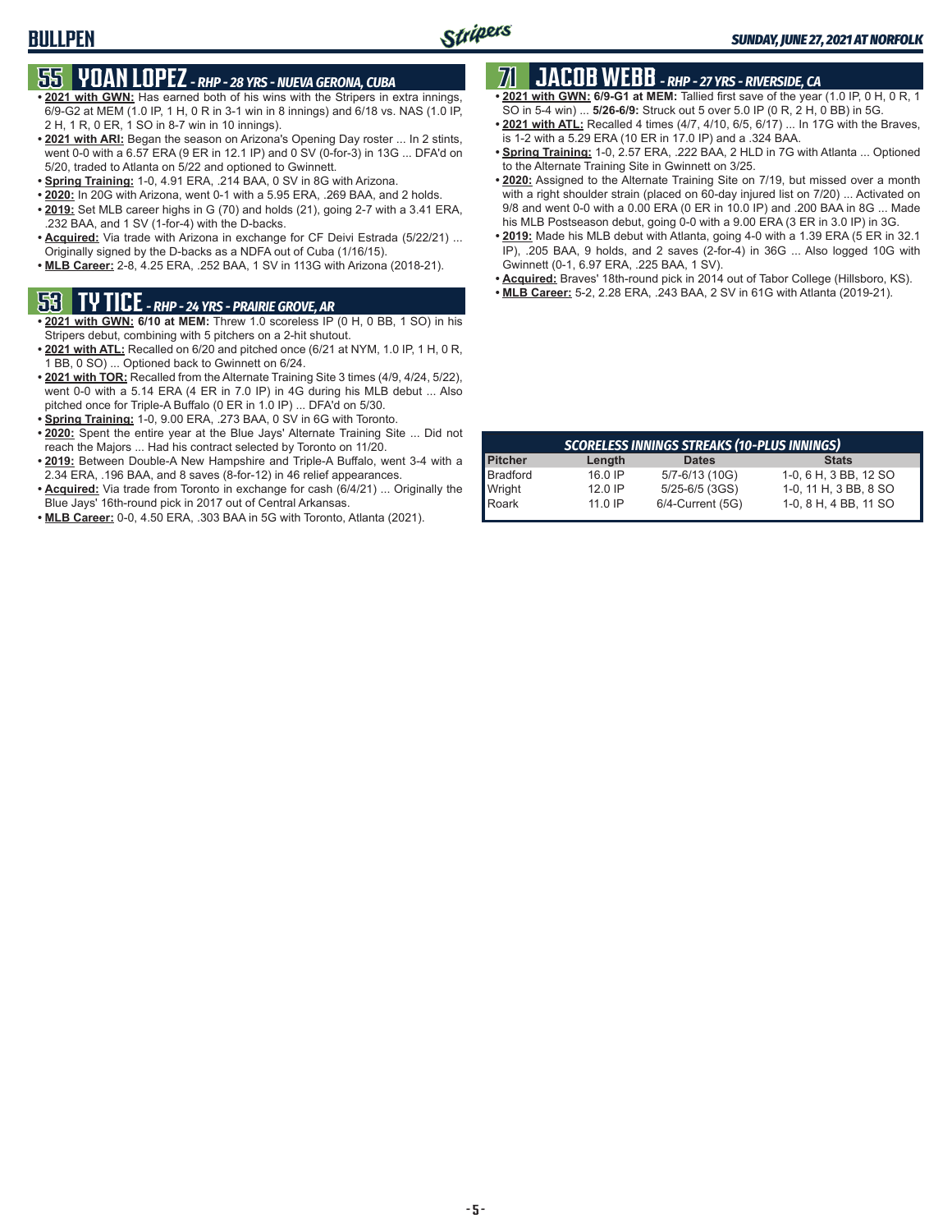## **55 YOAN LOPEZ** *- RHP - 28 YRS - NUEVA GERONA, CUBA*

- **• 2021 with GWN:** Has earned both of his wins with the Stripers in extra innings, 6/9-G2 at MEM (1.0 IP, 1 H, 0 R in 3-1 win in 8 innings) and 6/18 vs. NAS (1.0 IP, 2 H, 1 R, 0 ER, 1 SO in 8-7 win in 10 innings).
- **• 2021 with ARI:** Began the season on Arizona's Opening Day roster ... In 2 stints, went 0-0 with a 6.57 ERA (9 ER in 12.1 IP) and 0 SV (0-for-3) in 13G ... DFA'd on 5/20, traded to Atlanta on 5/22 and optioned to Gwinnett.
- **• Spring Training:** 1-0, 4.91 ERA, .214 BAA, 0 SV in 8G with Arizona.
- **• 2020:** In 20G with Arizona, went 0-1 with a 5.95 ERA, .269 BAA, and 2 holds.
- **• 2019:** Set MLB career highs in G (70) and holds (21), going 2-7 with a 3.41 ERA, .232 BAA, and 1 SV (1-for-4) with the D-backs.
- **• Acquired:** Via trade with Arizona in exchange for CF Deivi Estrada (5/22/21) ... Originally signed by the D-backs as a NDFA out of Cuba (1/16/15).
- **• MLB Career:** 2-8, 4.25 ERA, .252 BAA, 1 SV in 113G with Arizona (2018-21).

## **53 TY TICE** *- RHP - 24 YRS - PRAIRIE GROVE, AR*

- **• 2021 with GWN: 6/10 at MEM:** Threw 1.0 scoreless IP (0 H, 0 BB, 1 SO) in his Stripers debut, combining with 5 pitchers on a 2-hit shutout.
- **• 2021 with ATL:** Recalled on 6/20 and pitched once (6/21 at NYM, 1.0 IP, 1 H, 0 R, 1 BB, 0 SO) ... Optioned back to Gwinnett on 6/24.
- **• 2021 with TOR:** Recalled from the Alternate Training Site 3 times (4/9, 4/24, 5/22), went 0-0 with a 5.14 ERA (4 ER in 7.0 IP) in 4G during his MLB debut ... Also pitched once for Triple-A Buffalo (0 ER in 1.0 IP) ... DFA'd on 5/30.
- **• Spring Training:** 1-0, 9.00 ERA, .273 BAA, 0 SV in 6G with Toronto.
- **• 2020:** Spent the entire year at the Blue Jays' Alternate Training Site ... Did not reach the Majors ... Had his contract selected by Toronto on 11/20.
- **• 2019:** Between Double-A New Hampshire and Triple-A Buffalo, went 3-4 with a 2.34 ERA, .196 BAA, and 8 saves (8-for-12) in 46 relief appearances.
- **• Acquired:** Via trade from Toronto in exchange for cash (6/4/21) ... Originally the Blue Jays' 16th-round pick in 2017 out of Central Arkansas.
- **• MLB Career:** 0-0, 4.50 ERA, .303 BAA in 5G with Toronto, Atlanta (2021).

## **71 JACOB WEBB** *- RHP - 27 YRS - RIVERSIDE, CA*

- **• 2021 with GWN: 6/9-G1 at MEM:** Tallied first save of the year (1.0 IP, 0 H, 0 R, 1 SO in 5-4 win) ... **5/26-6/9:** Struck out 5 over 5.0 IP (0 R, 2 H, 0 BB) in 5G.
- **• 2021 with ATL:** Recalled 4 times (4/7, 4/10, 6/5, 6/17) ... In 17G with the Braves,
- is 1-2 with a 5.29 ERA (10 ER in 17.0 IP) and a .324 BAA. **• Spring Training:** 1-0, 2.57 ERA, .222 BAA, 2 HLD in 7G with Atlanta ... Optioned
- to the Alternate Training Site in Gwinnett on 3/25. **• 2020:** Assigned to the Alternate Training Site on 7/19, but missed over a month with a right shoulder strain (placed on 60-day injured list on 7/20) ... Activated on 9/8 and went 0-0 with a 0.00 ERA (0 ER in 10.0 IP) and .200 BAA in 8G ... Made his MLB Postseason debut, going 0-0 with a 9.00 ERA (3 ER in 3.0 IP) in 3G.
- **• 2019:** Made his MLB debut with Atlanta, going 4-0 with a 1.39 ERA (5 ER in 32.1 IP), .205 BAA, 9 holds, and 2 saves (2-for-4) in 36G ... Also logged 10G with Gwinnett (0-1, 6.97 ERA, .225 BAA, 1 SV).
- **• Acquired:** Braves' 18th-round pick in 2014 out of Tabor College (Hillsboro, KS).
- **• MLB Career:** 5-2, 2.28 ERA, .243 BAA, 2 SV in 61G with Atlanta (2019-21).

|                 | <b>SCORELESS INNINGS STREAKS (10-PLUS INNINGS)</b> |                  |                       |  |  |  |  |  |  |  |  |
|-----------------|----------------------------------------------------|------------------|-----------------------|--|--|--|--|--|--|--|--|
| <b>Pitcher</b>  | Length                                             | <b>Dates</b>     | <b>Stats</b>          |  |  |  |  |  |  |  |  |
| Bradford        | $16.0$ IP                                          | 5/7-6/13 (10G)   | 1-0, 6 H, 3 BB, 12 SO |  |  |  |  |  |  |  |  |
| Wright<br>Roark | $12.0$ IP                                          | 5/25-6/5 (3GS)   | 1-0, 11 H, 3 BB, 8 SO |  |  |  |  |  |  |  |  |
|                 | $11.0$ IP                                          | 6/4-Current (5G) | 1-0, 8 H, 4 BB, 11 SO |  |  |  |  |  |  |  |  |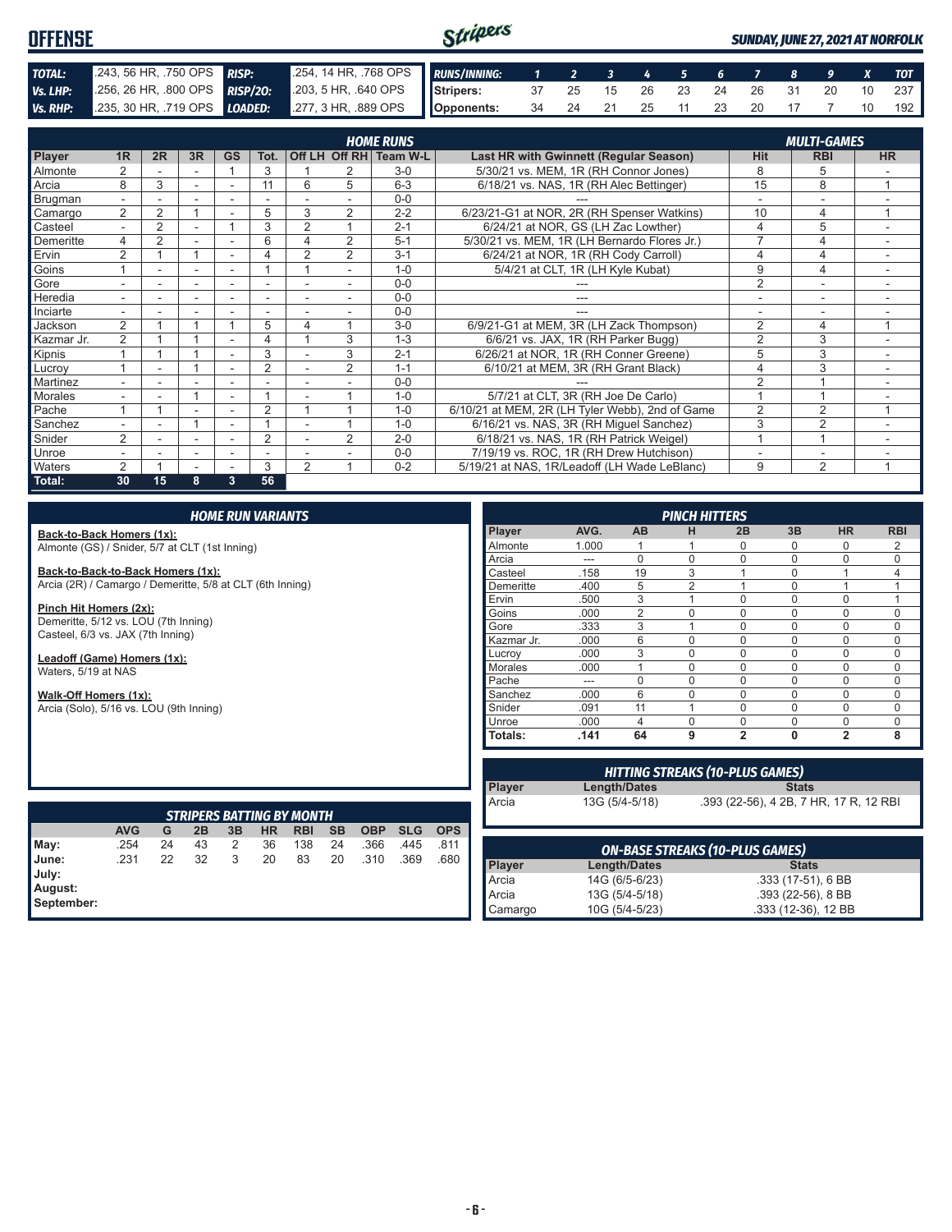#### Stripers **OFFENSE** *SUNDAY, JUNE 27, 2021 AT NORFOLK TOTAL:* .243, 56 HR, .750 OPS *RISP:* .254, 14 HR, .768 OPS *RUNS/INNING: 1 2 3 4 5 6 7 8 9 X TOT Vs. LHP:* .256, 26 HR, .800 OPS *RISP/2O:* .203, 5 HR, .640 OPS **Stripers:** 37 25 15 26 23 24 26 31 20 10 237 *Vs. RHP:* .235, 30 HR, .719 OPS *LOADED:* .277, 3 HR, .889 OPS **Opponents:** 34 24 21 25 11 23 20 17 7 10 192

| <b>HOME RUNS</b> |                |                |    |                          |                |                |                |                        |                                                 | <b>MULTI-GAMES</b> |                |                |
|------------------|----------------|----------------|----|--------------------------|----------------|----------------|----------------|------------------------|-------------------------------------------------|--------------------|----------------|----------------|
| Player           | 1 <sub>R</sub> | 2R             | 3R | <b>GS</b>                | Tot.           |                |                | Off LH Off RH Team W-L | Last HR with Gwinnett (Regular Season)          | <b>Hit</b>         | <b>RBI</b>     | <b>HR</b>      |
| <b>Almonte</b>   |                |                |    |                          | 3              |                |                | $3-0$                  | 5/30/21 vs. MEM, 1R (RH Connor Jones)           | 8                  | 5              |                |
| Arcia            | 8              | 3              |    |                          | 11             | 6              | 5              | $6 - 3$                | 6/18/21 vs. NAS, 1R (RH Alec Bettinger)         | 15                 | 8              |                |
| Brugman          |                |                |    |                          |                |                |                | $0 - 0$                |                                                 |                    |                |                |
| Camargo          | 2              | $\overline{2}$ |    | $\overline{\phantom{a}}$ | 5              | 3              | $\overline{2}$ | $2 - 2$                | 6/23/21-G1 at NOR, 2R (RH Spenser Watkins)      | 10                 | 4              | $\overline{ }$ |
| Casteel          | $\overline{a}$ | 2              |    |                          | 3              | $\overline{2}$ |                | $2 - 1$                | 6/24/21 at NOR. GS (LH Zac Lowther)             | 4                  | 5              |                |
| Demeritte        | 4              | $\overline{2}$ |    |                          | 6              |                | $\overline{2}$ | $5 - 1$                | 5/30/21 vs. MEM, 1R (LH Bernardo Flores Jr.)    |                    | 4              |                |
| Ervin            | $\overline{2}$ |                |    |                          |                | $\overline{2}$ | 2              | $3 - 1$                | 6/24/21 at NOR, 1R (RH Cody Carroll)            | 4                  | 4              | ٠              |
| Goins            |                | ٠              | ۰  | $\sim$                   |                |                |                | $1 - \Omega$           | 5/4/21 at CLT, 1R (LH Kyle Kubat)               | 9                  | 4              | ۰              |
| Gore             |                |                |    |                          |                |                |                | $0 - 0$                |                                                 | $\overline{2}$     |                |                |
| Heredia          |                |                |    |                          |                |                |                | $0 - 0$                |                                                 |                    |                |                |
| Inciarte         |                |                |    |                          |                |                |                | $0 - 0$                |                                                 |                    |                |                |
| Jackson          | $\mathfrak{D}$ |                |    |                          | 5              | 4              |                | $3-0$                  | 6/9/21-G1 at MEM, 3R (LH Zack Thompson)         | 2                  | 4              | $\overline{ }$ |
| Kazmar Jr.       | 2              |                |    |                          | 4              |                | 3              | $1 - 3$                | 6/6/21 vs. JAX, 1R (RH Parker Bugg)             | $\overline{2}$     | 3              |                |
| Kipnis           |                |                |    |                          | 3              |                | 3              | $2 - 1$                | 6/26/21 at NOR, 1R (RH Conner Greene)           | 5                  | 3              |                |
| Lucroy           |                | ٠              |    | $\overline{\phantom{a}}$ | $\overline{2}$ |                | $\overline{2}$ | $1 - 1$                | 6/10/21 at MEM, 3R (RH Grant Black)             | 4                  | 3              | $\sim$         |
| Martinez         | ۰.             |                |    | $\overline{\phantom{a}}$ |                |                |                | $0 - 0$                |                                                 | $\mathfrak{p}$     |                |                |
| Morales          |                |                |    | $\overline{\phantom{a}}$ |                |                |                | $1 - 0$                | 5/7/21 at CLT, 3R (RH Joe De Carlo)             |                    |                |                |
| Pache            |                |                |    |                          | $\overline{2}$ |                |                | $1 - 0$                | 6/10/21 at MEM, 2R (LH Tyler Webb), 2nd of Game | $\overline{2}$     | 2              |                |
| Sanchez          |                |                |    |                          |                |                |                | $1 - 0$                | 6/16/21 vs. NAS, 3R (RH Miguel Sanchez)         | 3                  | 2              |                |
| Snider           | 2              |                |    |                          | $\overline{2}$ |                | $\overline{2}$ | $2 - 0$                | 6/18/21 vs. NAS, 1R (RH Patrick Weigel)         |                    | $\overline{A}$ |                |
| <b>Unroe</b>     |                |                | ۰  | ٠                        | ٠              |                |                | $0 - 0$                | 7/19/19 vs. ROC, 1R (RH Drew Hutchison)         |                    | ۰              |                |
| <b>Waters</b>    | 2              |                |    |                          | 3              | $\overline{2}$ |                | $0 - 2$                | 5/19/21 at NAS, 1R/Leadoff (LH Wade LeBlanc)    | 9                  | $\overline{2}$ | $\overline{ }$ |
| Total:           | 30             | 15             | 8  | $3^{\circ}$              | 56             |                |                |                        |                                                 |                    |                |                |

#### *HOME RUN VARIANTS*

**Back-to-Back Homers (1x):** Almonte (GS) / Snider, 5/7 at CLT (1st Inning)

**Back-to-Back-to-Back Homers (1x):** Arcia (2R) / Camargo / Demeritte, 5/8 at CLT (6th Inning)

**Pinch Hit Homers (2x):** Demeritte, 5/12 vs. LOU (7th Inning) Casteel, 6/3 vs. JAX (7th Inning)

**Leadoff (Game) Homers (1x):** Waters, 5/19 at NAS

**Walk-Off Homers (1x):** Arcia (Solo), 5/16 vs. LOU (9th Inning)

*PINCH HITTERS* **Player AVG. AB H 2B 3B HR RBI** Almonte 1.000 1 1 0 0 0 2 Arcia --- 0 0 0 0 0 0 Casteel .158 19 3 1 0 1 4 Demeritte .400 5 2 1 0 1 1 Ervin .500 3 1 0 0 0 1 Goins .000 2 0 0 0 0 0 Gore 333 3 1 0 0 0 0 Kazmar Jr. 000 6 0 0 0 0 0 0<br>Lucrov 000 3 0 0 0 0 0 Lucroy .000 3 0 0 0 0 0 Morales .000 1 0 0 0 0 0 Pache --- 0 0 0 0 0 0 0 Sanchez .000 6 0 0 0 0 0 0 Snider .091 11 1 0 0 0 0 Unroe .000 4 0 0 0 0 0 **Totals: .141 64 9 2 0 2 8**

|                                                 |            |    |    |    |           | <b>STRIPERS BATTING BY MONTH</b> |           |            |            |            |
|-------------------------------------------------|------------|----|----|----|-----------|----------------------------------|-----------|------------|------------|------------|
|                                                 | <b>AVG</b> | G  | 2B | 3B | <b>HR</b> | <b>RBI</b>                       | <b>SB</b> | <b>OBP</b> | <b>SLG</b> | <b>OPS</b> |
|                                                 | .254       | 24 | 43 | 2  | 36        | 138                              | 24        | .366       | .445       | .811       |
| May:<br>June:<br>July:<br>August:<br>September: | .231       | 22 | 32 | 3  | 20        | 83                               | 20        | .310       | .369       | .680       |

| <b>HITTING STREAKS (10-PLUS GAMES)</b> |                     |                                        |  |  |  |
|----------------------------------------|---------------------|----------------------------------------|--|--|--|
| Player<br>Arcia                        | Length/Dates        | <b>Stats</b>                           |  |  |  |
|                                        | 13G (5/4-5/18)      | .393 (22-56), 4 2B, 7 HR, 17 R, 12 RBI |  |  |  |
|                                        |                     | <b>ON-BASE STREAKS (10-PLUS GAMES)</b> |  |  |  |
| Player<br>Arcia                        | <b>Length/Dates</b> | <b>Stats</b>                           |  |  |  |
|                                        | 14G (6/5-6/23)      | .333 (17-51), 6 BB                     |  |  |  |

.333 (12-36), 12 BB

Arcia 13G (5/4-5/18) .393 (22-56), 8 BB<br>Camargo 10G (5/4-5/23) .333 (12-36), 12 BB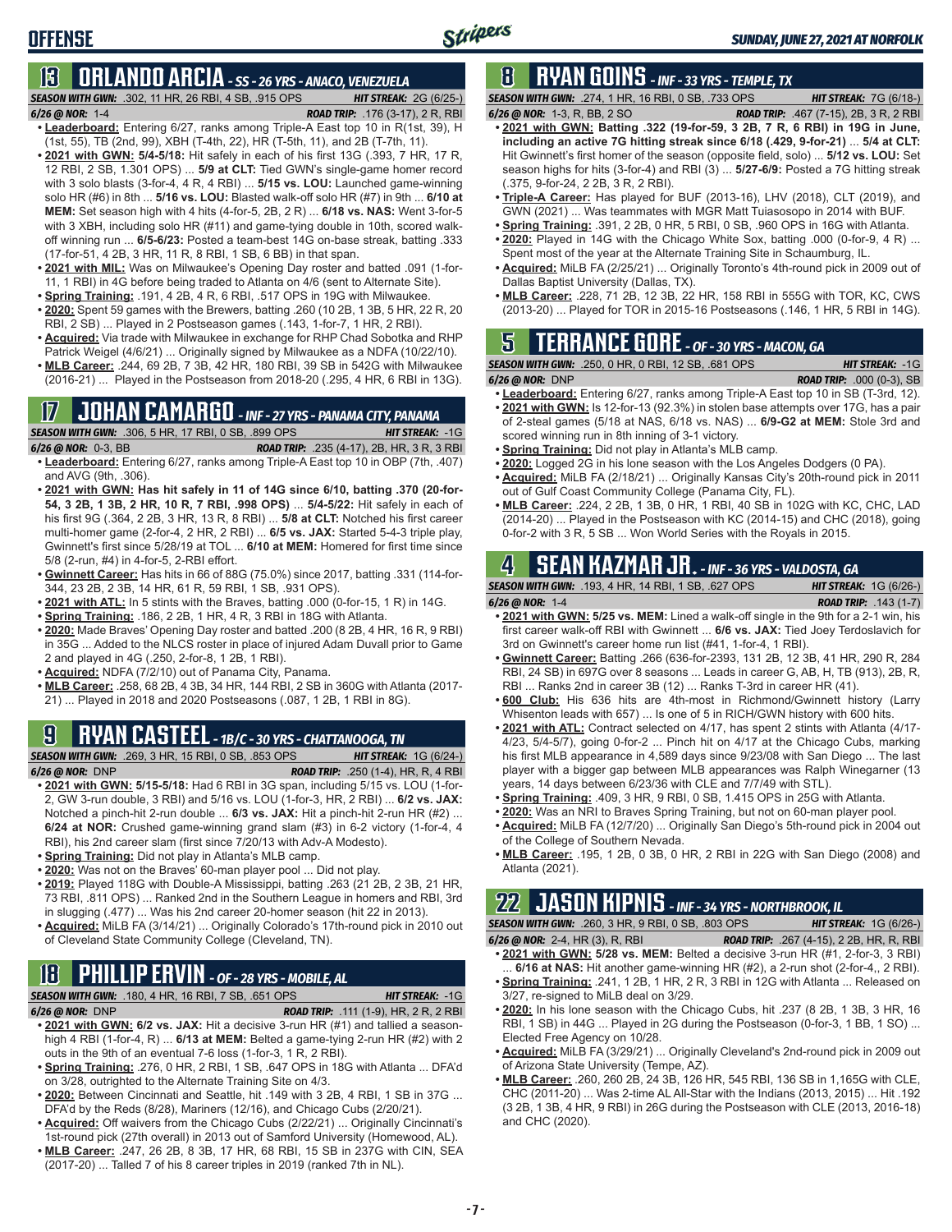# **OFFENSE**

# **13 ORLANDO ARCIA** *- SS - 26 YRS - ANACO, VENEZUELA*

*SEASON WITH GWN:*.302, 11 HR, 26 RBI, 4 SB, .915 OPS *HIT STREAK:* 2G (6/25-) *6/26 @ NOR:*1-4 *ROAD TRIP:* .176 (3-17), 2 R, RBI

- **• Leaderboard:** Entering 6/27, ranks among Triple-A East top 10 in R(1st, 39), H (1st, 55), TB (2nd, 99), XBH (T-4th, 22), HR (T-5th, 11), and 2B (T-7th, 11). **• 2021 with GWN: 5/4-5/18:** Hit safely in each of his first 13G (.393, 7 HR, 17 R,
- 12 RBI, 2 SB, 1.301 OPS) ... **5/9 at CLT:** Tied GWN's single-game homer record with 3 solo blasts (3-for-4, 4 R, 4 RBI) ... **5/15 vs. LOU:** Launched game-winning solo HR (#6) in 8th ... **5/16 vs. LOU:** Blasted walk-off solo HR (#7) in 9th ... **6/10 at MEM:** Set season high with 4 hits (4-for-5, 2B, 2 R) ... **6/18 vs. NAS:** Went 3-for-5 with 3 XBH, including solo HR (#11) and game-tying double in 10th, scored walkoff winning run ... **6/5-6/23:** Posted a team-best 14G on-base streak, batting .333 (17-for-51, 4 2B, 3 HR, 11 R, 8 RBI, 1 SB, 6 BB) in that span.
- **• 2021 with MIL:** Was on Milwaukee's Opening Day roster and batted .091 (1-for-11, 1 RBI) in 4G before being traded to Atlanta on 4/6 (sent to Alternate Site).
- **• Spring Training:** .191, 4 2B, 4 R, 6 RBI, .517 OPS in 19G with Milwaukee. **• 2020:** Spent 59 games with the Brewers, batting .260 (10 2B, 1 3B, 5 HR, 22 R, 20 RBI, 2 SB) ... Played in 2 Postseason games (.143, 1-for-7, 1 HR, 2 RBI).
- **• Acquired:** Via trade with Milwaukee in exchange for RHP Chad Sobotka and RHP Patrick Weigel (4/6/21) ... Originally signed by Milwaukee as a NDFA (10/22/10).
- **• MLB Career:** .244, 69 2B, 7 3B, 42 HR, 180 RBI, 39 SB in 542G with Milwaukee (2016-21) ... Played in the Postseason from 2018-20 (.295, 4 HR, 6 RBI in 13G).

#### **17 JOHAN CAMARGO** *- INF - 27 YRS - PANAMA CITY, PANAMA SEASON WITH GWN:*.306, 5 HR, 17 RBI, 0 SB, .899 OPS *HIT STREAK:* -1G

#### *6/26 @ NOR:* 0-3, BB *ROAD TRIP:* .235 (4-17), 2B, HR, 3 R, 3 RBI

- **• Leaderboard:** Entering 6/27, ranks among Triple-A East top 10 in OBP (7th, .407) and AVG (9th, .306).
- **• 2021 with GWN: Has hit safely in 11 of 14G since 6/10, batting .370 (20-for-54, 3 2B, 1 3B, 2 HR, 10 R, 7 RBI, .998 OPS)** ... **5/4-5/22:** Hit safely in each of his first 9G (.364, 2 2B, 3 HR, 13 R, 8 RBI) ... **5/8 at CLT:** Notched his first career multi-homer game (2-for-4, 2 HR, 2 RBI) ... **6/5 vs. JAX:** Started 5-4-3 triple play, Gwinnett's first since 5/28/19 at TOL ... **6/10 at MEM:** Homered for first time since 5/8 (2-run, #4) in 4-for-5, 2-RBI effort.
- **• Gwinnett Career:** Has hits in 66 of 88G (75.0%) since 2017, batting .331 (114-for-344, 23 2B, 2 3B, 14 HR, 61 R, 59 RBI, 1 SB, .931 OPS).
- **• 2021 with ATL:** In 5 stints with the Braves, batting .000 (0-for-15, 1 R) in 14G.
- **• Spring Training:** .186, 2 2B, 1 HR, 4 R, 3 RBI in 18G with Atlanta.
- **• 2020:** Made Braves' Opening Day roster and batted .200 (8 2B, 4 HR, 16 R, 9 RBI) in 35G ... Added to the NLCS roster in place of injured Adam Duvall prior to Game 2 and played in 4G (.250, 2-for-8, 1 2B, 1 RBI).
- **• Acquired:** NDFA (7/2/10) out of Panama City, Panama.
- **• MLB Career:** .258, 68 2B, 4 3B, 34 HR, 144 RBI, 2 SB in 360G with Atlanta (2017- 21) ... Played in 2018 and 2020 Postseasons (.087, 1 2B, 1 RBI in 8G).

### **9 RYAN CASTEEL** *- 1B/C - 30 YRS - CHATTANOOGA, TN*

*SEASON WITH GWN:*.269, 3 HR, 15 RBI, 0 SB, .853 OPS *HIT STREAK:* 1G (6/24-) *6/26 @ NOR:*DNP *ROAD TRIP:* .250 (1-4), HR, R, 4 RBI

- **• 2021 with GWN: 5/15-5/18:** Had 6 RBI in 3G span, including 5/15 vs. LOU (1-for-2, GW 3-run double, 3 RBI) and 5/16 vs. LOU (1-for-3, HR, 2 RBI) ... **6/2 vs. JAX:** Notched a pinch-hit 2-run double ... **6/3 vs. JAX:** Hit a pinch-hit 2-run HR (#2) ... **6/24 at NOR:** Crushed game-winning grand slam (#3) in 6-2 victory (1-for-4, 4 RBI), his 2nd career slam (first since 7/20/13 with Adv-A Modesto).
- **• Spring Training:** Did not play in Atlanta's MLB camp.
- **• 2020:** Was not on the Braves' 60-man player pool ... Did not play.
- **• 2019:** Played 118G with Double-A Mississippi, batting .263 (21 2B, 2 3B, 21 HR, 73 RBI, .811 OPS) ... Ranked 2nd in the Southern League in homers and RBI, 3rd in slugging (.477) ... Was his 2nd career 20-homer season (hit 22 in 2013).
- **• Acquired:** MiLB FA (3/14/21) ... Originally Colorado's 17th-round pick in 2010 out of Cleveland State Community College (Cleveland, TN).

# **18 PHILLIP ERVIN** *- OF - 28 YRS - MOBILE, AL*

*SEASON WITH GWN:*.180, 4 HR, 16 RBI, 7 SB, .651 OPS *HIT STREAK:* -1G

*6/26 @ NOR:*DNP *ROAD TRIP:* .111 (1-9), HR, 2 R, 2 RBI **• 2021 with GWN: 6/2 vs. JAX:** Hit a decisive 3-run HR (#1) and tallied a seasonhigh 4 RBI (1-for-4, R) ... **6/13 at MEM:** Belted a game-tying 2-run HR (#2) with 2 outs in the 9th of an eventual 7-6 loss (1-for-3, 1 R, 2 RBI).

- **• Spring Training:** .276, 0 HR, 2 RBI, 1 SB, .647 OPS in 18G with Atlanta ... DFA'd on 3/28, outrighted to the Alternate Training Site on 4/3.
- **• 2020:** Between Cincinnati and Seattle, hit .149 with 3 2B, 4 RBI, 1 SB in 37G ... DFA'd by the Reds (8/28), Mariners (12/16), and Chicago Cubs (2/20/21).
- **• Acquired:** Off waivers from the Chicago Cubs (2/22/21) ... Originally Cincinnati's
- 1st-round pick (27th overall) in 2013 out of Samford University (Homewood, AL). **• MLB Career:** .247, 26 2B, 8 3B, 17 HR, 68 RBI, 15 SB in 237G with CIN, SEA
- (2017-20) ... Talled 7 of his 8 career triples in 2019 (ranked 7th in NL).

## **8 RYAN GOINS** *- INF - 33 YRS - TEMPLE, TX*

*SEASON WITH GWN:*.274, 1 HR, 16 RBI, 0 SB, .733 OPS *HIT STREAK:* 7G (6/18-)

- *6/26 @ NOR:*1-3, R, BB, 2 SO *ROAD TRIP:* .467 (7-15), 2B, 3 R, 2 RBI **• 2021 with GWN: Batting .322 (19-for-59, 3 2B, 7 R, 6 RBI) in 19G in June, including an active 7G hitting streak since 6/18 (.429, 9-for-21)** ... **5/4 at CLT:** Hit Gwinnett's first homer of the season (opposite field, solo) ... **5/12 vs. LOU:** Set season highs for hits (3-for-4) and RBI (3) ... **5/27-6/9:** Posted a 7G hitting streak (.375, 9-for-24, 2 2B, 3 R, 2 RBI).
- **• Triple-A Career:** Has played for BUF (2013-16), LHV (2018), CLT (2019), and GWN (2021) ... Was teammates with MGR Matt Tuiasosopo in 2014 with BUF.
- **• Spring Training:** .391, 2 2B, 0 HR, 5 RBI, 0 SB, .960 OPS in 16G with Atlanta.
- **• 2020:** Played in 14G with the Chicago White Sox, batting .000 (0-for-9, 4 R) ... Spent most of the year at the Alternate Training Site in Schaumburg, IL.
- **• Acquired:** MiLB FA (2/25/21) ... Originally Toronto's 4th-round pick in 2009 out of Dallas Baptist University (Dallas, TX).
- **• MLB Career:** .228, 71 2B, 12 3B, 22 HR, 158 RBI in 555G with TOR, KC, CWS (2013-20) ... Played for TOR in 2015-16 Postseasons (.146, 1 HR, 5 RBI in 14G).

## **5 TERRANCE GORE** *- OF - 30 YRS - MACON, GA*

*SEASON WITH GWN:*.250, 0 HR, 0 RBI, 12 SB, .681 OPS *HIT STREAK:* -1G

- *6/26 @ NOR:*DNP *ROAD TRIP:* .000 (0-3), SB
- **• Leaderboard:** Entering 6/27, ranks among Triple-A East top 10 in SB (T-3rd, 12). **• 2021 with GWN:** Is 12-for-13 (92.3%) in stolen base attempts over 17G, has a pair of 2-steal games (5/18 at NAS, 6/18 vs. NAS) ... **6/9-G2 at MEM:** Stole 3rd and scored winning run in 8th inning of 3-1 victory.
- **• Spring Training:** Did not play in Atlanta's MLB camp.
- **• 2020:** Logged 2G in his lone season with the Los Angeles Dodgers (0 PA).
- **• Acquired:** MiLB FA (2/18/21) ... Originally Kansas City's 20th-round pick in 2011 out of Gulf Coast Community College (Panama City, FL).
- **• MLB Career:** .224, 2 2B, 1 3B, 0 HR, 1 RBI, 40 SB in 102G with KC, CHC, LAD (2014-20) ... Played in the Postseason with KC (2014-15) and CHC (2018), going 0-for-2 with 3 R, 5 SB ... Won World Series with the Royals in 2015.

#### **4 SEAN KAZMAR JR.** *- INF - 36 YRS - VALDOSTA, GA SEASON WITH GWN:*.193, 4 HR, 14 RBI, 1 SB, .627 OPS *HIT STREAK:* 1G (6/26-)

- *6/26 @ NOR:*1-4 *ROAD TRIP:* .143 (1-7)
- **• 2021 with GWN: 5/25 vs. MEM:** Lined a walk-off single in the 9th for a 2-1 win, his first career walk-off RBI with Gwinnett ... **6/6 vs. JAX:** Tied Joey Terdoslavich for 3rd on Gwinnett's career home run list (#41, 1-for-4, 1 RBI).
- **• Gwinnett Career:** Batting .266 (636-for-2393, 131 2B, 12 3B, 41 HR, 290 R, 284 RBI, 24 SB) in 697G over 8 seasons ... Leads in career G, AB, H, TB (913), 2B, R, RBI ... Ranks 2nd in career 3B (12) ... Ranks T-3rd in career HR (41).
- **• 600 Club:** His 636 hits are 4th-most in Richmond/Gwinnett history (Larry Whisenton leads with 657) ... Is one of 5 in RICH/GWN history with 600 hits.
- **• 2021 with ATL:** Contract selected on 4/17, has spent 2 stints with Atlanta (4/17- 4/23, 5/4-5/7), going 0-for-2 ... Pinch hit on 4/17 at the Chicago Cubs, marking his first MLB appearance in 4,589 days since 9/23/08 with San Diego ... The last player with a bigger gap between MLB appearances was Ralph Winegarner (13 years, 14 days between 6/23/36 with CLE and 7/7/49 with STL).
- **• Spring Training:** .409, 3 HR, 9 RBI, 0 SB, 1.415 OPS in 25G with Atlanta.
- **• 2020:** Was an NRI to Braves Spring Training, but not on 60-man player pool.
- **• Acquired:** MiLB FA (12/7/20) ... Originally San Diego's 5th-round pick in 2004 out of the College of Southern Nevada.
- **• MLB Career:** .195, 1 2B, 0 3B, 0 HR, 2 RBI in 22G with San Diego (2008) and Atlanta (2021).

# **22 JASON KIPNIS** *- INF - 34 YRS - NORTHBROOK, IL*

*SEASON WITH GWN:*.260, 3 HR, 9 RBI, 0 SB, .803 OPS *HIT STREAK:* 1G (6/26-)

- *6/26 @ NOR:*2-4, HR (3), R, RBI *ROAD TRIP:* .267 (4-15), 2 2B, HR, R, RBI **• 2021 with GWN: 5/28 vs. MEM:** Belted a decisive 3-run HR (#1, 2-for-3, 3 RBI) ... **6/16 at NAS:** Hit another game-winning HR (#2), a 2-run shot (2-for-4,, 2 RBI).
- **• Spring Training:** .241, 1 2B, 1 HR, 2 R, 3 RBI in 12G with Atlanta ... Released on 3/27, re-signed to MiLB deal on 3/29.
- **• 2020:** In his lone season with the Chicago Cubs, hit .237 (8 2B, 1 3B, 3 HR, 16 RBI, 1 SB) in 44G ... Played in 2G during the Postseason (0-for-3, 1 BB, 1 SO) ... Elected Free Agency on 10/28.
- **• Acquired:** MiLB FA (3/29/21) ... Originally Cleveland's 2nd-round pick in 2009 out of Arizona State University (Tempe, AZ).
- **• MLB Career:** .260, 260 2B, 24 3B, 126 HR, 545 RBI, 136 SB in 1,165G with CLE, CHC (2011-20) ... Was 2-time AL All-Star with the Indians (2013, 2015) ... Hit .192 (3 2B, 1 3B, 4 HR, 9 RBI) in 26G during the Postseason with CLE (2013, 2016-18) and CHC (2020).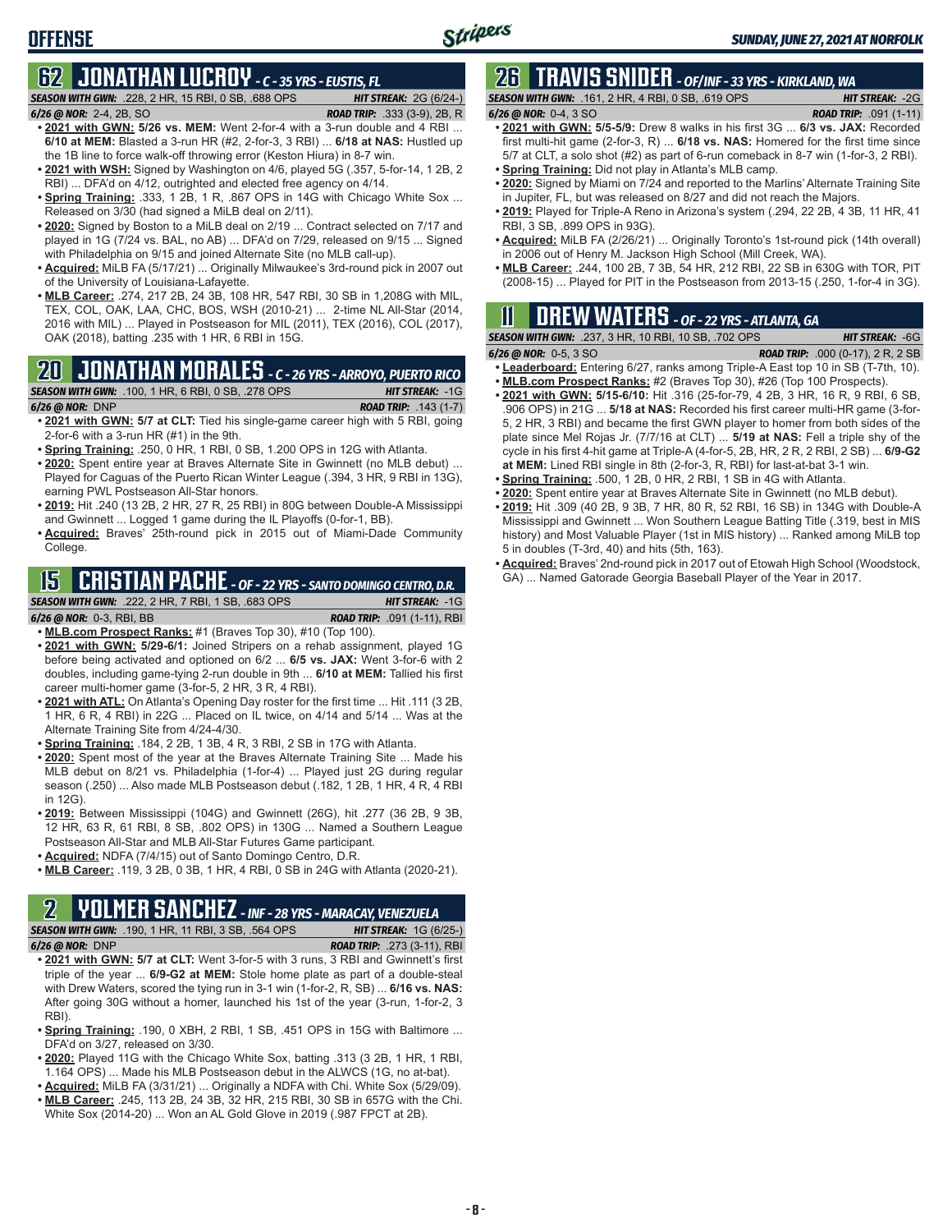### **OFFENSE**

# **62 JONATHAN LUCROY** *- C - 35 YRS - EUSTIS, FL*

*SEASON WITH GWN:*.228, 2 HR, 15 RBI, 0 SB, .688 OPS *HIT STREAK:* 2G (6/24-)

- *6/26 @ NOR:*2-4, 2B, SO *ROAD TRIP:* .333 (3-9), 2B, R
- **• 2021 with GWN: 5/26 vs. MEM:** Went 2-for-4 with a 3-run double and 4 RBI ... **6/10 at MEM:** Blasted a 3-run HR (#2, 2-for-3, 3 RBI) ... **6/18 at NAS:** Hustled up the 1B line to force walk-off throwing error (Keston Hiura) in 8-7 win.
- **• 2021 with WSH:** Signed by Washington on 4/6, played 5G (.357, 5-for-14, 1 2B, 2 RBI) ... DFA'd on 4/12, outrighted and elected free agency on 4/14.
- **Spring Training:** 333, 1 2B, 1 R, .867 OPS in 14G with Chicago White Sox ... Released on 3/30 (had signed a MiLB deal on 2/11).
- **• 2020:** Signed by Boston to a MiLB deal on 2/19 ... Contract selected on 7/17 and played in 1G (7/24 vs. BAL, no AB) ... DFA'd on 7/29, released on 9/15 ... Signed with Philadelphia on 9/15 and joined Alternate Site (no MLB call-up).
- **• Acquired:** MiLB FA (5/17/21) ... Originally Milwaukee's 3rd-round pick in 2007 out of the University of Louisiana-Lafayette.
- **• MLB Career:** .274, 217 2B, 24 3B, 108 HR, 547 RBI, 30 SB in 1,208G with MIL, TEX, COL, OAK, LAA, CHC, BOS, WSH (2010-21) ... 2-time NL All-Star (2014, 2016 with MIL) ... Played in Postseason for MIL (2011), TEX (2016), COL (2017), OAK (2018), batting .235 with 1 HR, 6 RBI in 15G.

# **20 JONATHAN MORALES** *- C - 26 YRS - ARROYO, PUERTO RICO*

- *SEASON WITH GWN:*.100, 1 HR, 6 RBI, 0 SB, .278 OPS *HIT STREAK:* -1G *6/26 @ NOR:*DNP *ROAD TRIP:* .143 (1-7)
- **• 2021 with GWN: 5/7 at CLT:** Tied his single-game career high with 5 RBI, going 2-for-6 with a 3-run HR (#1) in the 9th.
- **• Spring Training:** .250, 0 HR, 1 RBI, 0 SB, 1.200 OPS in 12G with Atlanta.
- **• 2020:** Spent entire year at Braves Alternate Site in Gwinnett (no MLB debut) ... Played for Caguas of the Puerto Rican Winter League (.394, 3 HR, 9 RBI in 13G), earning PWL Postseason All-Star honors.
- **• 2019:** Hit .240 (13 2B, 2 HR, 27 R, 25 RBI) in 80G between Double-A Mississippi and Gwinnett ... Logged 1 game during the IL Playoffs (0-for-1, BB).
- **• Acquired:** Braves' 25th-round pick in 2015 out of Miami-Dade Community College.

# **15 CRISTIAN PACHE** *- OF - 22 YRS - SANTO DOMINGO CENTRO, D.R.*

*SEASON WITH GWN:*.222, 2 HR, 7 RBI, 1 SB, .683 OPS *HIT STREAK:* -1G *6/26 @ NOR:* 0-3, RBI, BB *ROAD TRIP:* .091 (1-11), RBI

- **• MLB.com Prospect Ranks:** #1 (Braves Top 30), #10 (Top 100).
- **• 2021 with GWN: 5/29-6/1:** Joined Stripers on a rehab assignment, played 1G before being activated and optioned on 6/2 ... **6/5 vs. JAX:** Went 3-for-6 with 2 doubles, including game-tying 2-run double in 9th ... **6/10 at MEM:** Tallied his first career multi-homer game (3-for-5, 2 HR, 3 R, 4 RBI).
- **• 2021 with ATL:** On Atlanta's Opening Day roster for the first time ... Hit .111 (3 2B, 1 HR, 6 R, 4 RBI) in 22G ... Placed on IL twice, on 4/14 and 5/14 ... Was at the Alternate Training Site from 4/24-4/30.
- **• Spring Training:** .184, 2 2B, 1 3B, 4 R, 3 RBI, 2 SB in 17G with Atlanta.
- **• 2020:** Spent most of the year at the Braves Alternate Training Site ... Made his MLB debut on 8/21 vs. Philadelphia (1-for-4) ... Played just 2G during regular season (.250) ... Also made MLB Postseason debut (.182, 1 2B, 1 HR, 4 R, 4 RBI in 12G).
- **• 2019:** Between Mississippi (104G) and Gwinnett (26G), hit .277 (36 2B, 9 3B, 12 HR, 63 R, 61 RBI, 8 SB, .802 OPS) in 130G ... Named a Southern League Postseason All-Star and MLB All-Star Futures Game participant.
- **• Acquired:** NDFA (7/4/15) out of Santo Domingo Centro, D.R.
- **• MLB Career:** .119, 3 2B, 0 3B, 1 HR, 4 RBI, 0 SB in 24G with Atlanta (2020-21).

### **2 YOLMER SANCHEZ** *- INF - 28 YRS - MARACAY, VENEZUELA*

*SEASON WITH GWN:*.190, 1 HR, 11 RBI, 3 SB, .564 OPS *HIT STREAK:* 1G (6/25-) *6/26 @ NOR:*DNP *ROAD TRIP:* .273 (3-11), RBI

- **• 2021 with GWN: 5/7 at CLT:** Went 3-for-5 with 3 runs, 3 RBI and Gwinnett's first triple of the year ... **6/9-G2 at MEM:** Stole home plate as part of a double-steal with Drew Waters, scored the tying run in 3-1 win (1-for-2, R, SB) ... **6/16 vs. NAS:** After going 30G without a homer, launched his 1st of the year (3-run, 1-for-2, 3 RBI).
- **• Spring Training:** .190, 0 XBH, 2 RBI, 1 SB, .451 OPS in 15G with Baltimore ... DFA'd on 3/27, released on 3/30.
- **• 2020:** Played 11G with the Chicago White Sox, batting .313 (3 2B, 1 HR, 1 RBI, 1.164 OPS) ... Made his MLB Postseason debut in the ALWCS (1G, no at-bat).
- **• Acquired:** MiLB FA (3/31/21) ... Originally a NDFA with Chi. White Sox (5/29/09).
- **• MLB Career:** .245, 113 2B, 24 3B, 32 HR, 215 RBI, 30 SB in 657G with the Chi. White Sox (2014-20) ... Won an AL Gold Glove in 2019 (.987 FPCT at 2B).

# **26 TRAVIS SNIDER** *- OF/INF - 33 YRS - KIRKLAND, WA*

*SEASON WITH GWN:*.161, 2 HR, 4 RBI, 0 SB, .619 OPS *HIT STREAK:* -2G *6/26 @ NOR:* 0-4, 3 SO *ROAD TRIP:* .091 (1-11)

- **• 2021 with GWN: 5/5-5/9:** Drew 8 walks in his first 3G ... **6/3 vs. JAX:** Recorded first multi-hit game (2-for-3, R) ... **6/18 vs. NAS:** Homered for the first time since 5/7 at CLT, a solo shot (#2) as part of 6-run comeback in 8-7 win (1-for-3, 2 RBI).
- **• Spring Training:** Did not play in Atlanta's MLB camp.
- **• 2020:** Signed by Miami on 7/24 and reported to the Marlins' Alternate Training Site in Jupiter, FL, but was released on 8/27 and did not reach the Majors.
- **• 2019:** Played for Triple-A Reno in Arizona's system (.294, 22 2B, 4 3B, 11 HR, 41 RBI, 3 SB, .899 OPS in 93G).
- **• Acquired:** MiLB FA (2/26/21) ... Originally Toronto's 1st-round pick (14th overall) in 2006 out of Henry M. Jackson High School (Mill Creek, WA).
- **• MLB Career:** .244, 100 2B, 7 3B, 54 HR, 212 RBI, 22 SB in 630G with TOR, PIT (2008-15) ... Played for PIT in the Postseason from 2013-15 (.250, 1-for-4 in 3G).

## **11 Drew WATERS** *- OF - 22 YRS - ATLANTA, GA*

| <b>SEASON WITH GWN:</b> .237, 3 HR, 10 RBI, 10 SB, .702 OPS                                                     | <b>HIT STREAK: -6G</b>                   |
|-----------------------------------------------------------------------------------------------------------------|------------------------------------------|
| 6/26 @ NOR: 0-5, 3 SO                                                                                           | <b>ROAD TRIP:</b> .000 (0-17), 2 R, 2 SB |
| $1 - 1$ and a showed. Fisteria is $0.07$ resolved assessed Triple $\Lambda$ Fact to $40$ in CD $(T \ 746$ $40)$ |                                          |

- **• Leaderboard:** Entering 6/27, ranks among Triple-A East top 10 in SB (T-7th, 10). **• MLB.com Prospect Ranks:** #2 (Braves Top 30), #26 (Top 100 Prospects).
- **• 2021 with GWN: 5/15-6/10:** Hit .316 (25-for-79, 4 2B, 3 HR, 16 R, 9 RBI, 6 SB, .906 OPS) in 21G ... **5/18 at NAS:** Recorded his first career multi-HR game (3-for-5, 2 HR, 3 RBI) and became the first GWN player to homer from both sides of the plate since Mel Rojas Jr. (7/7/16 at CLT) ... **5/19 at NAS:** Fell a triple shy of the cycle in his first 4-hit game at Triple-A (4-for-5, 2B, HR, 2 R, 2 RBI, 2 SB) ... **6/9-G2 at MEM:** Lined RBI single in 8th (2-for-3, R, RBI) for last-at-bat 3-1 win.
- **• Spring Training:** .500, 1 2B, 0 HR, 2 RBI, 1 SB in 4G with Atlanta.
- **• 2020:** Spent entire year at Braves Alternate Site in Gwinnett (no MLB debut).
- **• 2019:** Hit .309 (40 2B, 9 3B, 7 HR, 80 R, 52 RBI, 16 SB) in 134G with Double-A Mississippi and Gwinnett ... Won Southern League Batting Title (.319, best in MIS history) and Most Valuable Player (1st in MIS history) ... Ranked among MiLB top 5 in doubles (T-3rd, 40) and hits (5th, 163).
- **• Acquired:** Braves' 2nd-round pick in 2017 out of Etowah High School (Woodstock, GA) ... Named Gatorade Georgia Baseball Player of the Year in 2017.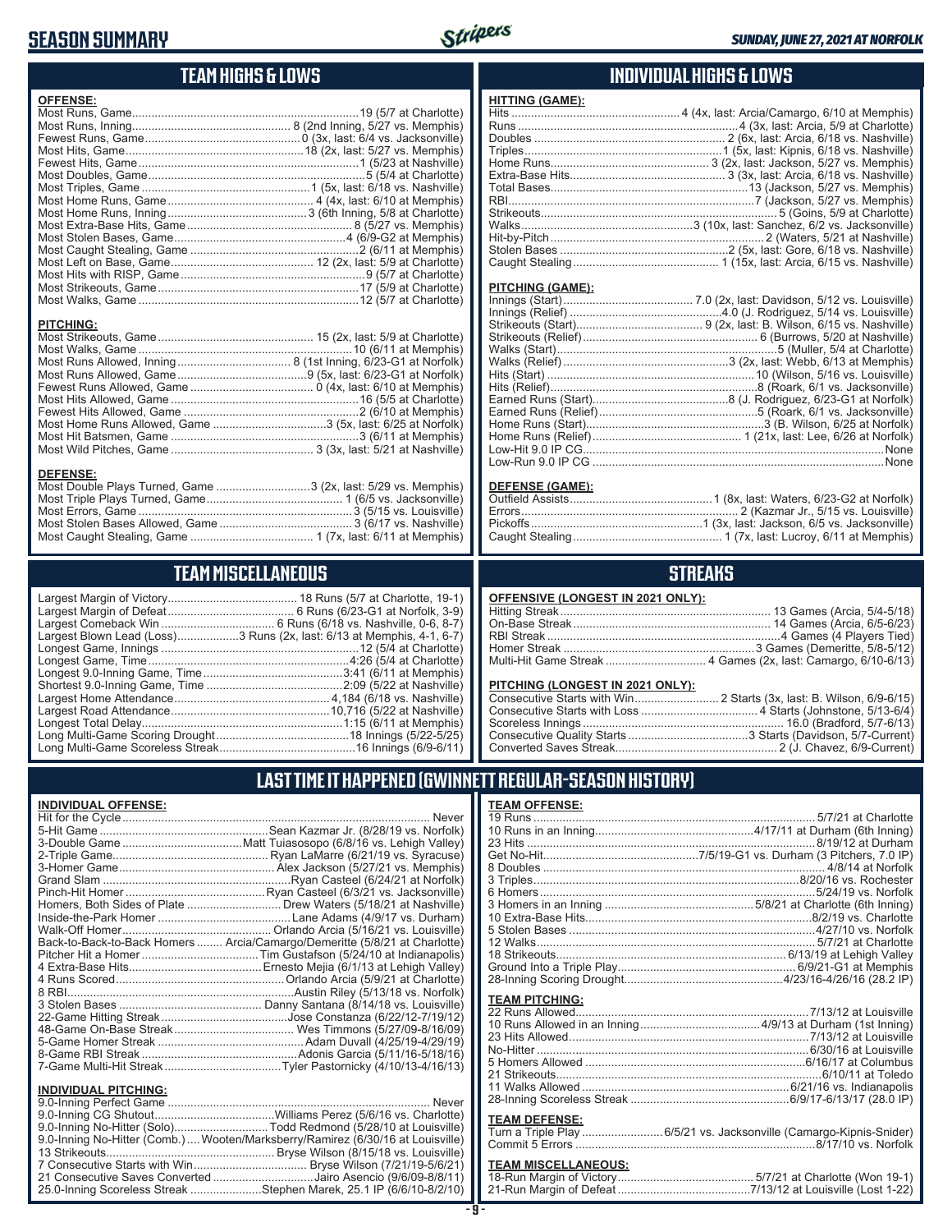#### **SEASON SUMMARY**



**HITTING (GAME):**

#### **TEAM HIGHS & LOWS**

| <b>OFFENSE:</b>  |  |
|------------------|--|
|                  |  |
|                  |  |
|                  |  |
|                  |  |
|                  |  |
|                  |  |
|                  |  |
|                  |  |
|                  |  |
|                  |  |
|                  |  |
|                  |  |
|                  |  |
|                  |  |
|                  |  |
|                  |  |
| <b>PITCHING:</b> |  |
|                  |  |
|                  |  |
|                  |  |
|                  |  |
|                  |  |
|                  |  |
|                  |  |
|                  |  |
|                  |  |
|                  |  |

Most Wild Pitches, Game ............................................ 3 (3x, last: 5/21 at Nashville)

Most Double Plays Turned, Game .............................3 (2x, last: 5/29 vs. Memphis) Most Triple Plays Turned, Game .......................................... 1 (6/5 vs. Jacksonville) Most Errors, Game ..................................................................3 (5/15 vs. Louisville) Most Stolen Bases Allowed, Game ......................................... 3 (6/17 vs. Nashville) Most Caught Stealing, Game ...................................... 1 (7x, last: 6/11 at Memphis)

**TEAM MISCELLANEOUS** Largest Margin of Victory........................................ 18 Runs (5/7 at Charlotte, 19-1) Largest Margin of Defeat ....................................... 6 Runs (6/23-G1 at Norfolk, 3-9) Largest Comeback Win ................................... 6 Runs (6/18 vs. Nashville, 0-6, 8-7) Largest Blown Lead (Loss)...................3 Runs (2x, last: 6/13 at Memphis, 4-1, 6-7) Longest Game, Innings .............................................................12 (5/4 at Charlotte) Longest Game, Time ..............................................................4:26 (5/4 at Charlotte) Longest 9.0-Inning Game, Time ...........................................3:41 (6/11 at Memphis) Shortest 9.0-Inning Game, Time ..........................................2:09 (5/22 at Nashville) Largest Home Attendance ................................................ 4,184 (6/18 vs. Nashville) Largest Road Attendance .................................................10,716 (5/22 at Nashville) Longest Total Delay..............................................................1:15 (6/11 at Memphis) Long Multi-Game Scoring Drought .........................................18 Innings (5/22-5/25) Long Multi-Game Scoreless Streak ..........................................16 Innings (6/9-6/11)

#### **INDIVIDUAL HIGHS & LOWS**

| PITCHING (GAME): |  |
|------------------|--|
|                  |  |
|                  |  |
|                  |  |
|                  |  |
|                  |  |
|                  |  |
|                  |  |
|                  |  |
|                  |  |
|                  |  |
|                  |  |

#### **DEFENSE (GAME):**

Low-Hit 9.0 IP CG.............................................................................................None Low-Run 9.0 IP CG ..........................................................................................None

#### **STREAKS**

#### **PITCHING (LONGEST IN 2021 ONLY):**

| <u>THE STRIP (ESTIMATE) HT EVER SITE I A</u> |  |
|----------------------------------------------|--|
|                                              |  |
|                                              |  |
|                                              |  |
|                                              |  |
|                                              |  |
|                                              |  |

#### **LAST TIME IT HAPPENED (GWINNETT REGULAR-SEASON HISTORY)**

#### **INDIVIDUAL OFFENSE:**

**DEFENSE:**

|                             | Homers, Both Sides of Plate  Drew Waters (5/18/21 at Nashville)            |
|-----------------------------|----------------------------------------------------------------------------|
|                             |                                                                            |
|                             |                                                                            |
|                             | Back-to-Back-to-Back Homers  Arcia/Camargo/Demeritte (5/8/21 at Charlotte) |
|                             |                                                                            |
|                             |                                                                            |
|                             |                                                                            |
|                             |                                                                            |
|                             |                                                                            |
|                             |                                                                            |
|                             |                                                                            |
|                             |                                                                            |
|                             |                                                                            |
|                             | 7-Game Multi-Hit StreakTyler Pastornicky (4/10/13-4/16/13)                 |
|                             |                                                                            |
| <b>INDIVIDUAL PITCHING:</b> |                                                                            |
|                             |                                                                            |

| 9.0-Inning No-Hitter (Solo)Todd Redmond (5/28/10 at Louisville)                 |
|---------------------------------------------------------------------------------|
| 9.0-Inning No-Hitter (Comb.)  Wooten/Marksberry/Ramirez (6/30/16 at Louisville) |
|                                                                                 |
|                                                                                 |
| 21 Consecutive Saves Converted Jairo Asencio (9/6/09-8/8/11)                    |
| 25.0-Inning Scoreless Streak Stephen Marek, 25.1 IP (6/6/10-8/2/10)             |

#### **- 9 -**

|  |  | TEAM AFFENAE. |  |
|--|--|---------------|--|

| <b>TEAM OFFENSE:</b>                                               |  |
|--------------------------------------------------------------------|--|
|                                                                    |  |
|                                                                    |  |
|                                                                    |  |
|                                                                    |  |
|                                                                    |  |
|                                                                    |  |
|                                                                    |  |
|                                                                    |  |
|                                                                    |  |
|                                                                    |  |
|                                                                    |  |
|                                                                    |  |
|                                                                    |  |
|                                                                    |  |
| <b>TEAM PITCHING:</b>                                              |  |
|                                                                    |  |
|                                                                    |  |
|                                                                    |  |
|                                                                    |  |
|                                                                    |  |
|                                                                    |  |
|                                                                    |  |
|                                                                    |  |
|                                                                    |  |
| <b>TEAM DEFENSE:</b>                                               |  |
| Turn a Triple Play 6/5/21 vs. Jacksonville (Camargo-Kipnis-Snider) |  |
|                                                                    |  |

#### **TEAM MISCELLANEOUS:**

| 21-Run Margin of Defeat…………………………………7/13/12 at Louisville (Lost 1-22) |
|-----------------------------------------------------------------------|